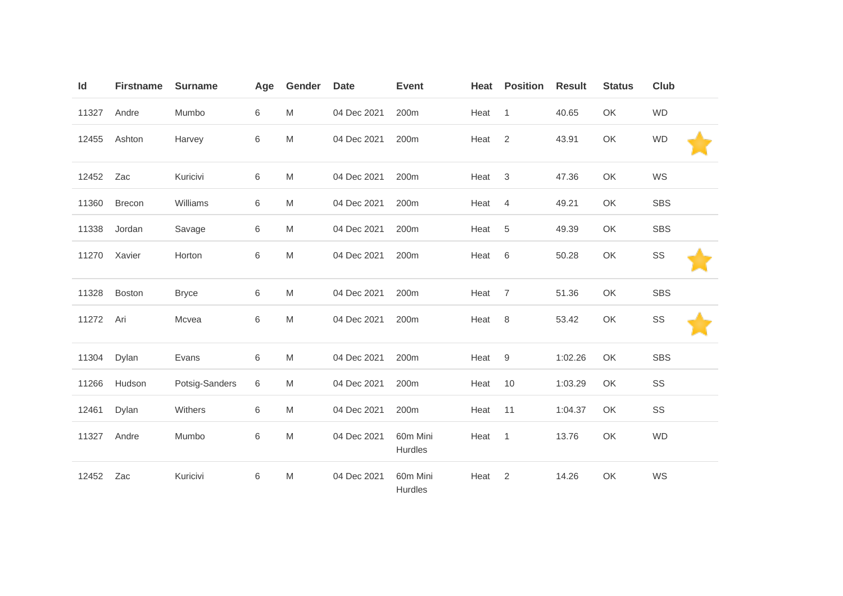| Id    | <b>Firstname</b> | <b>Surname</b> | Age | Gender | <b>Date</b> | <b>Event</b>        | Heat | <b>Position</b> | <b>Result</b> | <b>Status</b> | <b>Club</b> |  |
|-------|------------------|----------------|-----|--------|-------------|---------------------|------|-----------------|---------------|---------------|-------------|--|
| 11327 | Andre            | Mumbo          | 6   | M      | 04 Dec 2021 | 200m                | Heat | $\mathbf{1}$    | 40.65         | OK            | <b>WD</b>   |  |
| 12455 | Ashton           | Harvey         | 6   | M      | 04 Dec 2021 | 200m                | Heat | $\overline{2}$  | 43.91         | OK            | <b>WD</b>   |  |
| 12452 | Zac              | Kuricivi       | 6   | M      | 04 Dec 2021 | 200m                | Heat | $\sqrt{3}$      | 47.36         | OK            | WS          |  |
| 11360 | <b>Brecon</b>    | Williams       | 6   | M      | 04 Dec 2021 | 200m                | Heat | $\overline{4}$  | 49.21         | OK            | <b>SBS</b>  |  |
| 11338 | Jordan           | Savage         | 6   | M      | 04 Dec 2021 | 200m                | Heat | 5               | 49.39         | OK            | <b>SBS</b>  |  |
| 11270 | Xavier           | Horton         | 6   | M      | 04 Dec 2021 | 200m                | Heat | 6               | 50.28         | OK            | SS          |  |
| 11328 | <b>Boston</b>    | <b>Bryce</b>   | 6   | M      | 04 Dec 2021 | 200m                | Heat | $\overline{7}$  | 51.36         | OK            | <b>SBS</b>  |  |
| 11272 | Ari              | Mcvea          | 6   | M      | 04 Dec 2021 | 200m                | Heat | $\,8\,$         | 53.42         | OK            | SS          |  |
| 11304 | Dylan            | Evans          | 6   | M      | 04 Dec 2021 | 200m                | Heat | $9\,$           | 1:02.26       | OK            | <b>SBS</b>  |  |
| 11266 | Hudson           | Potsig-Sanders | 6   | M      | 04 Dec 2021 | 200m                | Heat | 10              | 1:03.29       | OK            | SS          |  |
| 12461 | Dylan            | Withers        | 6   | M      | 04 Dec 2021 | 200m                | Heat | 11              | 1:04.37       | OK            | SS          |  |
| 11327 | Andre            | Mumbo          | 6   | M      | 04 Dec 2021 | 60m Mini<br>Hurdles | Heat | $\mathbf{1}$    | 13.76         | OK            | <b>WD</b>   |  |
| 12452 | Zac              | Kuricivi       | 6   | M      | 04 Dec 2021 | 60m Mini<br>Hurdles | Heat | $\sqrt{2}$      | 14.26         | OK            | WS          |  |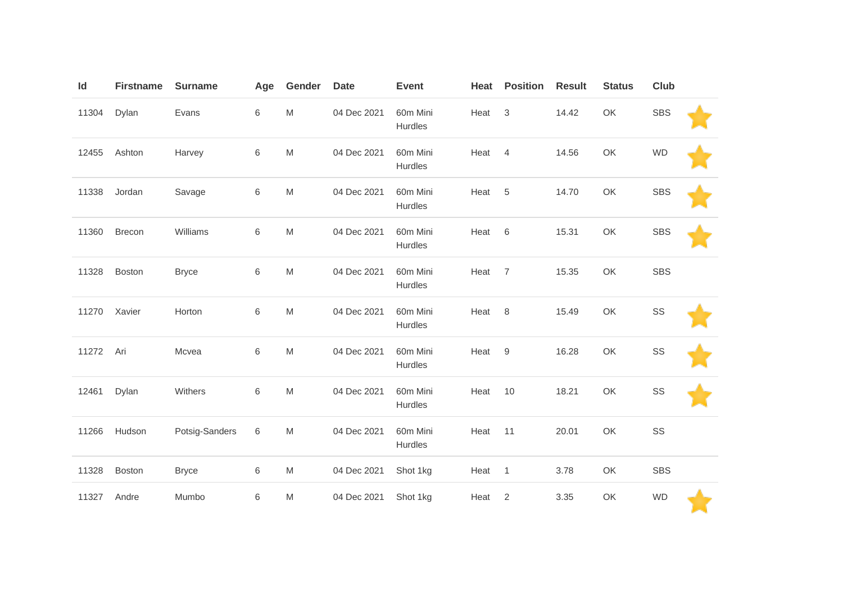| Id    | <b>Firstname</b> | <b>Surname</b> | Age         | Gender                                                                                                     | <b>Date</b> | <b>Event</b>        | Heat | <b>Position</b>  | <b>Result</b> | <b>Status</b> | <b>Club</b> |  |
|-------|------------------|----------------|-------------|------------------------------------------------------------------------------------------------------------|-------------|---------------------|------|------------------|---------------|---------------|-------------|--|
| 11304 | Dylan            | Evans          | $\,6\,$     | $\mathsf{M}% _{T}=\mathsf{M}_{T}\!\left( a,b\right) ,\ \mathsf{M}_{T}=\mathsf{M}_{T}\!\left( a,b\right) ,$ | 04 Dec 2021 | 60m Mini<br>Hurdles | Heat | 3                | 14.42         | OK            | <b>SBS</b>  |  |
| 12455 | Ashton           | Harvey         | 6           | $\mathsf{M}% _{T}=\mathsf{M}_{T}\!\left( a,b\right) ,\ \mathsf{M}_{T}=\mathsf{M}_{T}\!\left( a,b\right) ,$ | 04 Dec 2021 | 60m Mini<br>Hurdles | Heat | 4                | 14.56         | OK            | <b>WD</b>   |  |
| 11338 | Jordan           | Savage         | $\,$ 6 $\,$ | $\mathsf{M}% _{T}=\mathsf{M}_{T}\!\left( a,b\right) ,\ \mathsf{M}_{T}=\mathsf{M}_{T}\!\left( a,b\right) ,$ | 04 Dec 2021 | 60m Mini<br>Hurdles | Heat | $\,$ 5 $\,$      | 14.70         | OK            | <b>SBS</b>  |  |
| 11360 | <b>Brecon</b>    | Williams       | $\,6\,$     | $\mathsf{M}% _{T}=\mathsf{M}_{T}\!\left( a,b\right) ,\ \mathsf{M}_{T}=\mathsf{M}_{T}\!\left( a,b\right) ,$ | 04 Dec 2021 | 60m Mini<br>Hurdles | Heat | 6                | 15.31         | OK            | <b>SBS</b>  |  |
| 11328 | Boston           | <b>Bryce</b>   | 6           | M                                                                                                          | 04 Dec 2021 | 60m Mini<br>Hurdles | Heat | $\overline{7}$   | 15.35         | OK            | <b>SBS</b>  |  |
| 11270 | Xavier           | Horton         | 6           | ${\sf M}$                                                                                                  | 04 Dec 2021 | 60m Mini<br>Hurdles | Heat | 8                | 15.49         | OK            | SS          |  |
| 11272 | Ari              | Mcvea          | $\,6\,$     | $\mathsf{M}% _{T}=\mathsf{M}_{T}\!\left( a,b\right) ,\ \mathsf{M}_{T}=\mathsf{M}_{T}\!\left( a,b\right) ,$ | 04 Dec 2021 | 60m Mini<br>Hurdles | Heat | $\boldsymbol{9}$ | 16.28         | OK            | SS          |  |
| 12461 | Dylan            | Withers        | $\,6\,$     | $\mathsf{M}% _{T}=\mathsf{M}_{T}\!\left( a,b\right) ,\ \mathsf{M}_{T}=\mathsf{M}_{T}\!\left( a,b\right) ,$ | 04 Dec 2021 | 60m Mini<br>Hurdles | Heat | 10               | 18.21         | OK            | SS          |  |
| 11266 | Hudson           | Potsig-Sanders | 6           | M                                                                                                          | 04 Dec 2021 | 60m Mini<br>Hurdles | Heat | 11               | 20.01         | OK            | SS          |  |
| 11328 | <b>Boston</b>    | <b>Bryce</b>   | $\,6$       | $\mathsf{M}% _{T}=\mathsf{M}_{T}\!\left( a,b\right) ,\ \mathsf{M}_{T}=\mathsf{M}_{T}\!\left( a,b\right) ,$ | 04 Dec 2021 | Shot 1kg            | Heat | $\mathbf{1}$     | 3.78          | OK            | <b>SBS</b>  |  |
| 11327 | Andre            | Mumbo          | $\,6$       | $\mathsf{M}% _{T}=\mathsf{M}_{T}\!\left( a,b\right) ,\ \mathsf{M}_{T}=\mathsf{M}_{T}\!\left( a,b\right) ,$ | 04 Dec 2021 | Shot 1kg            | Heat | $\overline{c}$   | 3.35          | OK            | <b>WD</b>   |  |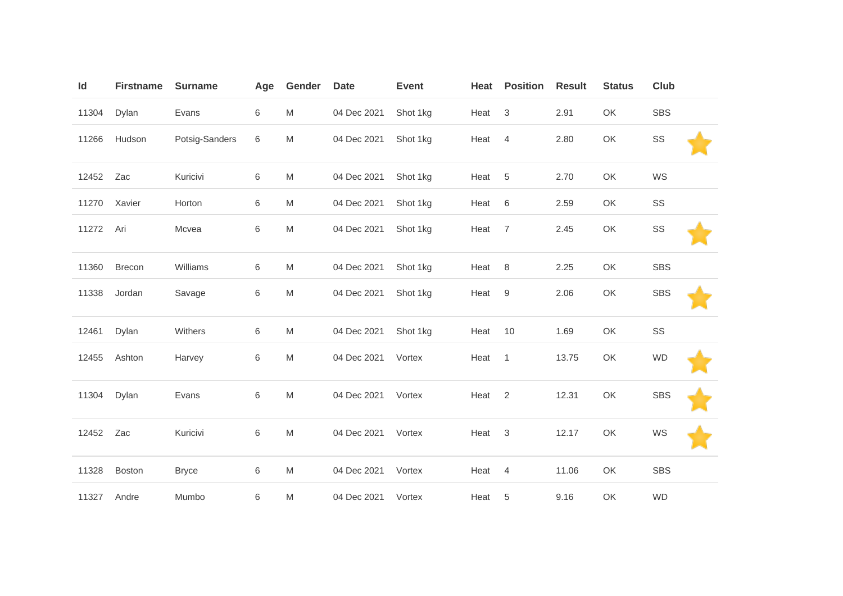| Id    | <b>Firstname</b> | <b>Surname</b> | Age | Gender | <b>Date</b> | <b>Event</b> | Heat | <b>Position</b> | <b>Result</b> | <b>Status</b> | <b>Club</b> |  |
|-------|------------------|----------------|-----|--------|-------------|--------------|------|-----------------|---------------|---------------|-------------|--|
| 11304 | Dylan            | Evans          | 6   | M      | 04 Dec 2021 | Shot 1kg     | Heat | $\mathbf{3}$    | 2.91          | OK            | <b>SBS</b>  |  |
| 11266 | Hudson           | Potsig-Sanders | 6   | M      | 04 Dec 2021 | Shot 1kg     | Heat | 4               | 2.80          | OK            | SS          |  |
| 12452 | Zac              | Kuricivi       | 6   | M      | 04 Dec 2021 | Shot 1kg     | Heat | $5\phantom{.0}$ | 2.70          | OK            | WS          |  |
| 11270 | Xavier           | Horton         | 6   | M      | 04 Dec 2021 | Shot 1kg     | Heat | 6               | 2.59          | OK            | SS          |  |
| 11272 | Ari              | Mcvea          | 6   | M      | 04 Dec 2021 | Shot 1kg     | Heat | $\overline{7}$  | 2.45          | OK            | SS          |  |
| 11360 | <b>Brecon</b>    | Williams       | 6   | M      | 04 Dec 2021 | Shot 1kg     | Heat | 8               | 2.25          | OK            | <b>SBS</b>  |  |
| 11338 | Jordan           | Savage         | 6   | M      | 04 Dec 2021 | Shot 1kg     | Heat | 9               | 2.06          | OK            | <b>SBS</b>  |  |
| 12461 | Dylan            | Withers        | 6   | M      | 04 Dec 2021 | Shot 1kg     | Heat | 10              | 1.69          | OK            | SS          |  |
| 12455 | Ashton           | Harvey         | 6   | M      | 04 Dec 2021 | Vortex       | Heat | $\overline{1}$  | 13.75         | OK            | <b>WD</b>   |  |
| 11304 | Dylan            | Evans          | 6   | M      | 04 Dec 2021 | Vortex       | Heat | 2               | 12.31         | OK            | <b>SBS</b>  |  |
| 12452 | Zac              | Kuricivi       | 6   | M      | 04 Dec 2021 | Vortex       | Heat | 3               | 12.17         | OK            | WS          |  |
| 11328 | Boston           | <b>Bryce</b>   | 6   | M      | 04 Dec 2021 | Vortex       | Heat | $\overline{4}$  | 11.06         | OK            | <b>SBS</b>  |  |
| 11327 | Andre            | Mumbo          | 6   | M      | 04 Dec 2021 | Vortex       | Heat | 5               | 9.16          | OK            | <b>WD</b>   |  |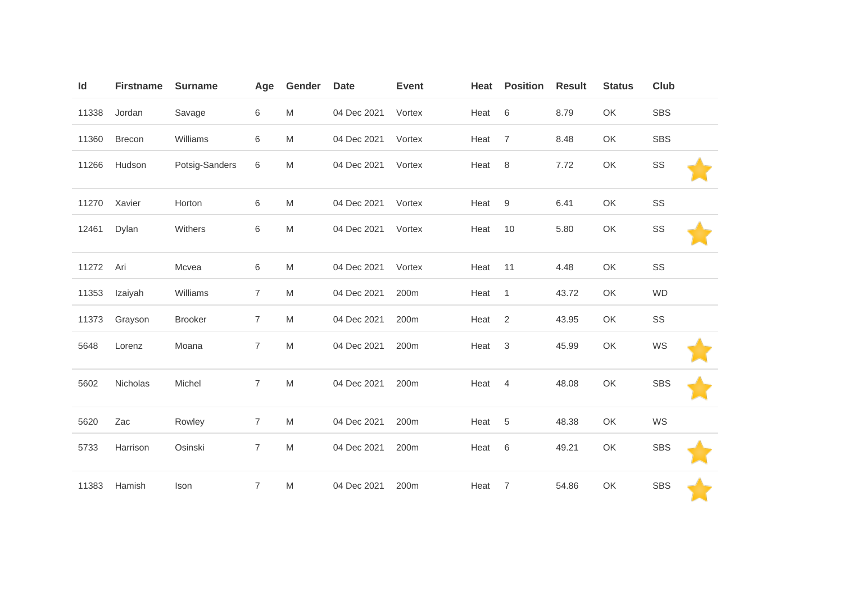| Id    | <b>Firstname</b> | <b>Surname</b> | Age            | Gender | <b>Date</b> | <b>Event</b> | Heat | <b>Position</b> | <b>Result</b> | <b>Status</b> | Club       |
|-------|------------------|----------------|----------------|--------|-------------|--------------|------|-----------------|---------------|---------------|------------|
| 11338 | Jordan           | Savage         | 6              | M      | 04 Dec 2021 | Vortex       | Heat | $\,6$           | 8.79          | OK            | SBS        |
| 11360 | <b>Brecon</b>    | Williams       | 6              | M      | 04 Dec 2021 | Vortex       | Heat | $\overline{7}$  | 8.48          | OK            | <b>SBS</b> |
| 11266 | Hudson           | Potsig-Sanders | 6              | M      | 04 Dec 2021 | Vortex       | Heat | 8               | 7.72          | OK            | SS         |
| 11270 | Xavier           | Horton         | 6              | M      | 04 Dec 2021 | Vortex       | Heat | $9\,$           | 6.41          | OK            | SS         |
| 12461 | Dylan            | Withers        | 6              | M      | 04 Dec 2021 | Vortex       | Heat | 10              | 5.80          | OK            | SS         |
| 11272 | Ari              | Mcvea          | 6              | M      | 04 Dec 2021 | Vortex       | Heat | 11              | 4.48          | OK            | SS         |
| 11353 | Izaiyah          | Williams       | 7              | M      | 04 Dec 2021 | 200m         | Heat | $\mathbf{1}$    | 43.72         | OK            | <b>WD</b>  |
| 11373 | Grayson          | <b>Brooker</b> | 7              | M      | 04 Dec 2021 | 200m         | Heat | 2               | 43.95         | OK            | SS         |
| 5648  | Lorenz           | Moana          | $\overline{7}$ | M      | 04 Dec 2021 | 200m         | Heat | 3               | 45.99         | OK            | WS         |
| 5602  | Nicholas         | Michel         | $\overline{7}$ | M      | 04 Dec 2021 | 200m         | Heat | 4               | 48.08         | OK            | <b>SBS</b> |
| 5620  | Zac              | Rowley         | $\overline{7}$ | M      | 04 Dec 2021 | 200m         | Heat | 5               | 48.38         | OK            | WS         |
| 5733  | Harrison         | Osinski        | $\overline{7}$ | M      | 04 Dec 2021 | 200m         | Heat | $\,6$           | 49.21         | OK            | <b>SBS</b> |
| 11383 | Hamish           | Ison           | $\overline{7}$ | M      | 04 Dec 2021 | 200m         | Heat | 7               | 54.86         | OK            | <b>SBS</b> |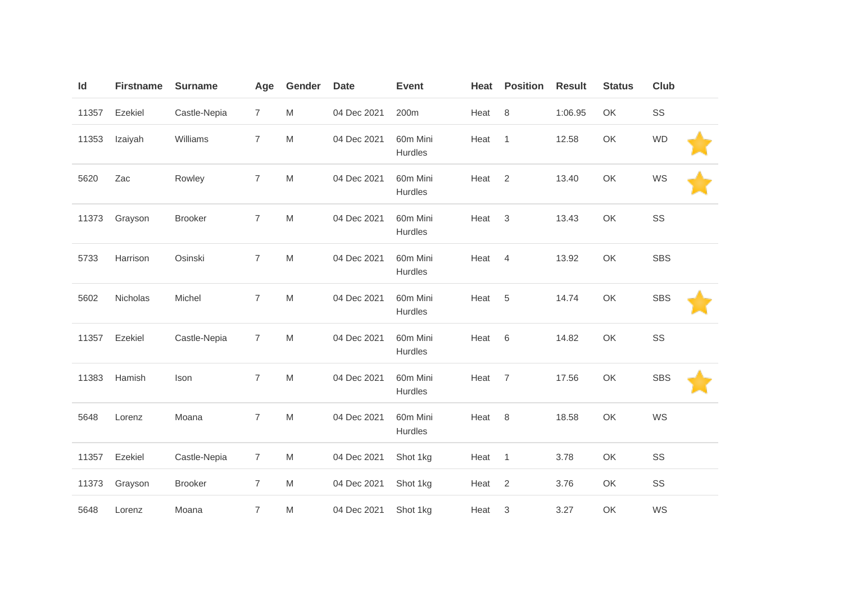| Id    | <b>Firstname</b> | <b>Surname</b> | Age            | Gender                                                                                                     | <b>Date</b> | <b>Event</b>        | Heat | <b>Position</b>           | <b>Result</b> | <b>Status</b> | <b>Club</b> |  |
|-------|------------------|----------------|----------------|------------------------------------------------------------------------------------------------------------|-------------|---------------------|------|---------------------------|---------------|---------------|-------------|--|
| 11357 | Ezekiel          | Castle-Nepia   | $\overline{7}$ | M                                                                                                          | 04 Dec 2021 | 200m                | Heat | $\,8\,$                   | 1:06.95       | OK            | SS          |  |
| 11353 | Izaiyah          | Williams       | $\overline{7}$ | M                                                                                                          | 04 Dec 2021 | 60m Mini<br>Hurdles | Heat | $\mathbf{1}$              | 12.58         | OK            | <b>WD</b>   |  |
| 5620  | Zac              | Rowley         | $\overline{7}$ | M                                                                                                          | 04 Dec 2021 | 60m Mini<br>Hurdles | Heat | 2                         | 13.40         | OK            | WS          |  |
| 11373 | Grayson          | <b>Brooker</b> | $\overline{7}$ | M                                                                                                          | 04 Dec 2021 | 60m Mini<br>Hurdles | Heat | $\sqrt{3}$                | 13.43         | OK            | SS          |  |
| 5733  | Harrison         | Osinski        | $\overline{7}$ | $\mathsf{M}% _{T}=\mathsf{M}_{T}\!\left( a,b\right) ,\ \mathsf{M}_{T}=\mathsf{M}_{T}\!\left( a,b\right) ,$ | 04 Dec 2021 | 60m Mini<br>Hurdles | Heat | 4                         | 13.92         | OK            | <b>SBS</b>  |  |
| 5602  | Nicholas         | Michel         | $\overline{7}$ | M                                                                                                          | 04 Dec 2021 | 60m Mini<br>Hurdles | Heat | 5                         | 14.74         | OK            | <b>SBS</b>  |  |
| 11357 | Ezekiel          | Castle-Nepia   | $\overline{7}$ | $\mathsf{M}% _{T}=\mathsf{M}_{T}\!\left( a,b\right) ,\ \mathsf{M}_{T}=\mathsf{M}_{T}\!\left( a,b\right) ,$ | 04 Dec 2021 | 60m Mini<br>Hurdles | Heat | 6                         | 14.82         | OK            | SS          |  |
| 11383 | Hamish           | Ison           | $\overline{7}$ | $\mathsf{M}% _{T}=\mathsf{M}_{T}\!\left( a,b\right) ,\ \mathsf{M}_{T}=\mathsf{M}_{T}\!\left( a,b\right) ,$ | 04 Dec 2021 | 60m Mini<br>Hurdles | Heat | $\overline{7}$            | 17.56         | OK            | <b>SBS</b>  |  |
| 5648  | Lorenz           | Moana          | $\overline{7}$ | M                                                                                                          | 04 Dec 2021 | 60m Mini<br>Hurdles | Heat | 8                         | 18.58         | OK            | WS          |  |
| 11357 | Ezekiel          | Castle-Nepia   | $\overline{7}$ | ${\sf M}$                                                                                                  | 04 Dec 2021 | Shot 1kg            | Heat | $\mathbf{1}$              | 3.78          | OK            | SS          |  |
| 11373 | Grayson          | <b>Brooker</b> | $\overline{7}$ | M                                                                                                          | 04 Dec 2021 | Shot 1kg            | Heat | $\sqrt{2}$                | 3.76          | OK            | SS          |  |
| 5648  | Lorenz           | Moana          | $\overline{7}$ | M                                                                                                          | 04 Dec 2021 | Shot 1kg            | Heat | $\ensuremath{\mathsf{3}}$ | 3.27          | OK            | WS          |  |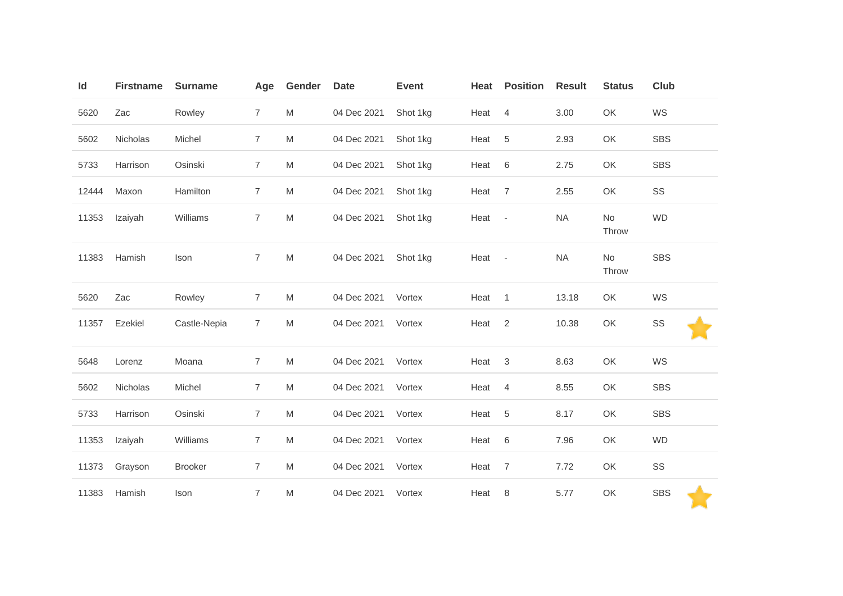| Id    | <b>Firstname</b> | <b>Surname</b> | Age            | Gender | <b>Date</b> | <b>Event</b> | Heat   | <b>Position</b> | <b>Result</b> | <b>Status</b> | Club       |
|-------|------------------|----------------|----------------|--------|-------------|--------------|--------|-----------------|---------------|---------------|------------|
| 5620  | Zac              | Rowley         | $\overline{7}$ | M      | 04 Dec 2021 | Shot 1kg     | Heat   | $\overline{4}$  | 3.00          | OK            | WS         |
| 5602  | Nicholas         | Michel         | 7              | M      | 04 Dec 2021 | Shot 1kg     | Heat   | $\overline{5}$  | 2.93          | OK            | <b>SBS</b> |
| 5733  | Harrison         | Osinski        | $\overline{7}$ | M      | 04 Dec 2021 | Shot 1kg     | Heat   | 6               | 2.75          | OK            | <b>SBS</b> |
| 12444 | Maxon            | Hamilton       | $\overline{7}$ | M      | 04 Dec 2021 | Shot 1kg     | Heat   | $\overline{7}$  | 2.55          | OK            | SS         |
| 11353 | Izaiyah          | Williams       | $\overline{7}$ | M      | 04 Dec 2021 | Shot 1kg     | Heat - |                 | <b>NA</b>     | No<br>Throw   | <b>WD</b>  |
| 11383 | Hamish           | Ison           | $\overline{7}$ | M      | 04 Dec 2021 | Shot 1kg     | Heat - |                 | <b>NA</b>     | No<br>Throw   | <b>SBS</b> |
| 5620  | Zac              | Rowley         | $\overline{7}$ | M      | 04 Dec 2021 | Vortex       | Heat   | $\overline{1}$  | 13.18         | OK            | WS         |
| 11357 | Ezekiel          | Castle-Nepia   | $\overline{7}$ | M      | 04 Dec 2021 | Vortex       | Heat   | 2               | 10.38         | OK            | SS         |
| 5648  | Lorenz           | Moana          | $\overline{7}$ | M      | 04 Dec 2021 | Vortex       | Heat   | $\mathbf{3}$    | 8.63          | OK            | WS         |
| 5602  | Nicholas         | Michel         | $\overline{7}$ | M      | 04 Dec 2021 | Vortex       | Heat   | $\overline{4}$  | 8.55          | OK            | <b>SBS</b> |
| 5733  | Harrison         | Osinski        | $\overline{7}$ | M      | 04 Dec 2021 | Vortex       | Heat   | 5               | 8.17          | OK            | <b>SBS</b> |
| 11353 | Izaiyah          | Williams       | $\overline{7}$ | M      | 04 Dec 2021 | Vortex       | Heat   | 6               | 7.96          | OK            | <b>WD</b>  |
| 11373 | Grayson          | <b>Brooker</b> | $\overline{7}$ | M      | 04 Dec 2021 | Vortex       | Heat   | $\overline{7}$  | 7.72          | OK            | SS         |
| 11383 | Hamish           | Ison           | $\overline{7}$ | M      | 04 Dec 2021 | Vortex       | Heat   | 8               | 5.77          | OK            | <b>SBS</b> |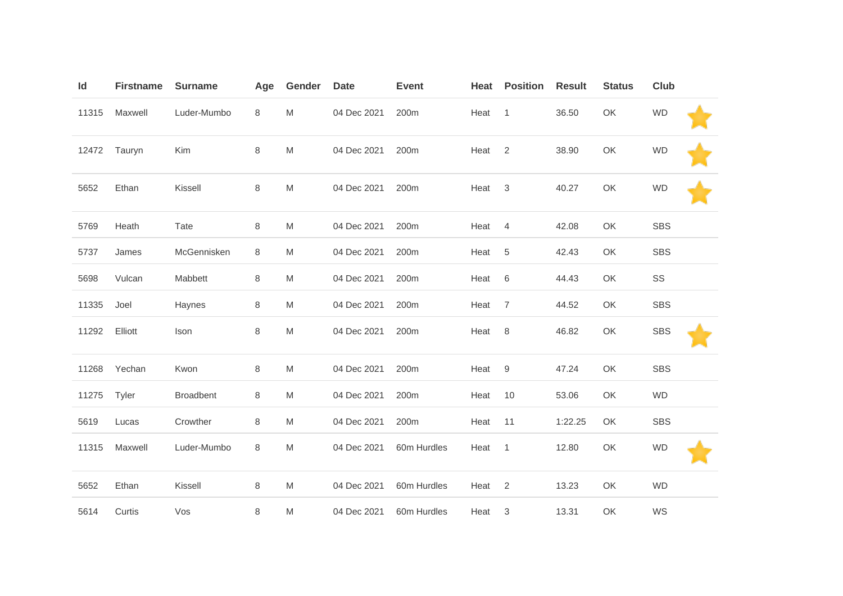| Id    | <b>Firstname</b> | <b>Surname</b>   | Age | Gender | <b>Date</b> | <b>Event</b>     | Heat | <b>Position</b>  | <b>Result</b> | <b>Status</b> | <b>Club</b> |  |
|-------|------------------|------------------|-----|--------|-------------|------------------|------|------------------|---------------|---------------|-------------|--|
| 11315 | Maxwell          | Luder-Mumbo      | 8   | M      | 04 Dec 2021 | 200 <sub>m</sub> | Heat | $\mathbf{1}$     | 36.50         | OK            | <b>WD</b>   |  |
| 12472 | Tauryn           | Kim              | 8   | M      | 04 Dec 2021 | 200m             | Heat | 2                | 38.90         | OK            | <b>WD</b>   |  |
| 5652  | Ethan            | Kissell          | 8   | M      | 04 Dec 2021 | 200m             | Heat | $\sqrt{3}$       | 40.27         | OK            | <b>WD</b>   |  |
| 5769  | Heath            | Tate             | 8   | M      | 04 Dec 2021 | 200m             | Heat | $\overline{4}$   | 42.08         | OK            | <b>SBS</b>  |  |
| 5737  | James            | McGennisken      | 8   | M      | 04 Dec 2021 | 200 <sub>m</sub> | Heat | 5                | 42.43         | OK            | <b>SBS</b>  |  |
| 5698  | Vulcan           | Mabbett          | 8   | M      | 04 Dec 2021 | 200m             | Heat | $\,6\,$          | 44.43         | OK            | SS          |  |
| 11335 | Joel             | Haynes           | 8   | M      | 04 Dec 2021 | 200m             | Heat | $\overline{7}$   | 44.52         | OK            | <b>SBS</b>  |  |
| 11292 | Elliott          | Ison             | 8   | M      | 04 Dec 2021 | 200m             | Heat | $\,8\,$          | 46.82         | OK            | <b>SBS</b>  |  |
| 11268 | Yechan           | Kwon             | 8   | M      | 04 Dec 2021 | 200m             | Heat | $\boldsymbol{9}$ | 47.24         | OK            | SBS         |  |
| 11275 | Tyler            | <b>Broadbent</b> | 8   | M      | 04 Dec 2021 | 200 <sub>m</sub> | Heat | 10               | 53.06         | OK            | <b>WD</b>   |  |
| 5619  | Lucas            | Crowther         | 8   | M      | 04 Dec 2021 | 200m             | Heat | 11               | 1:22.25       | OK            | <b>SBS</b>  |  |
| 11315 | Maxwell          | Luder-Mumbo      | 8   | M      | 04 Dec 2021 | 60m Hurdles      | Heat | $\mathbf{1}$     | 12.80         | OK            | <b>WD</b>   |  |
| 5652  | Ethan            | Kissell          | 8   | M      | 04 Dec 2021 | 60m Hurdles      | Heat | 2                | 13.23         | OK            | <b>WD</b>   |  |
| 5614  | Curtis           | Vos              | 8   | M      | 04 Dec 2021 | 60m Hurdles      | Heat | $\sqrt{3}$       | 13.31         | OK            | WS          |  |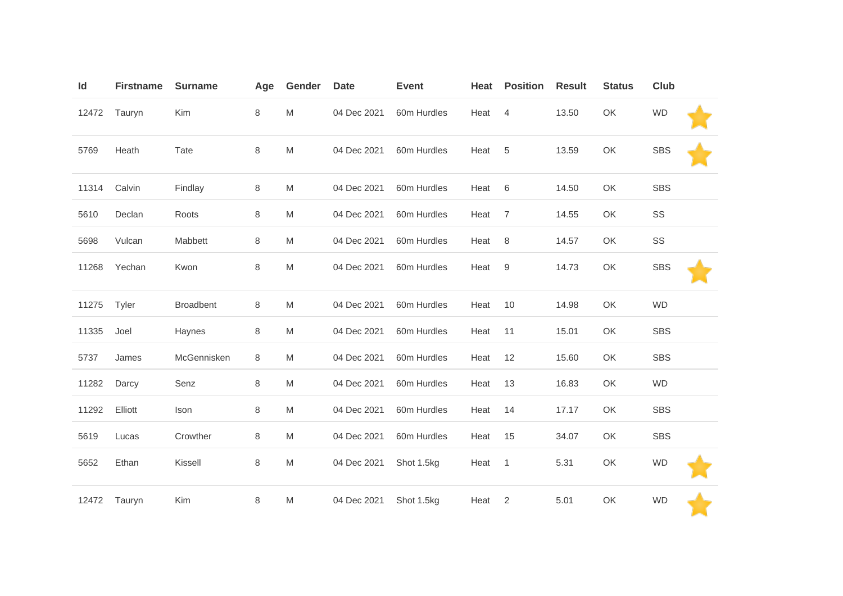| Id    | <b>Firstname</b> | <b>Surname</b>   | Age     | Gender    | <b>Date</b> | <b>Event</b> | Heat | <b>Position</b> | <b>Result</b> | <b>Status</b> | <b>Club</b>   |  |
|-------|------------------|------------------|---------|-----------|-------------|--------------|------|-----------------|---------------|---------------|---------------|--|
| 12472 | Tauryn           | Kim              | 8       | M         | 04 Dec 2021 | 60m Hurdles  | Heat | 4               | 13.50         | OK            | <b>WD</b>     |  |
| 5769  | Heath            | Tate             | 8       | ${\sf M}$ | 04 Dec 2021 | 60m Hurdles  | Heat | $\,$ 5 $\,$     | 13.59         | OK            | <b>SBS</b>    |  |
| 11314 | Calvin           | Findlay          | $\,8\,$ | M         | 04 Dec 2021 | 60m Hurdles  | Heat | 6               | 14.50         | OK            | <b>SBS</b>    |  |
| 5610  | Declan           | Roots            | 8       | M         | 04 Dec 2021 | 60m Hurdles  | Heat | $\overline{7}$  | 14.55         | OK            | SS            |  |
| 5698  | Vulcan           | Mabbett          | 8       | M         | 04 Dec 2021 | 60m Hurdles  | Heat | $\,8\,$         | 14.57         | OK            | $\texttt{SS}$ |  |
| 11268 | Yechan           | Kwon             | 8       | M         | 04 Dec 2021 | 60m Hurdles  | Heat | 9               | 14.73         | OK            | <b>SBS</b>    |  |
| 11275 | Tyler            | <b>Broadbent</b> | 8       | M         | 04 Dec 2021 | 60m Hurdles  | Heat | 10              | 14.98         | OK            | <b>WD</b>     |  |
| 11335 | Joel             | Haynes           | 8       | M         | 04 Dec 2021 | 60m Hurdles  | Heat | 11              | 15.01         | OK            | <b>SBS</b>    |  |
| 5737  | James            | McGennisken      | 8       | M         | 04 Dec 2021 | 60m Hurdles  | Heat | 12              | 15.60         | OK            | <b>SBS</b>    |  |
| 11282 | Darcy            | Senz             | 8       | M         | 04 Dec 2021 | 60m Hurdles  | Heat | 13              | 16.83         | OK            | <b>WD</b>     |  |
| 11292 | Elliott          | Ison             | 8       | M         | 04 Dec 2021 | 60m Hurdles  | Heat | 14              | 17.17         | OK            | <b>SBS</b>    |  |
| 5619  | Lucas            | Crowther         | 8       | M         | 04 Dec 2021 | 60m Hurdles  | Heat | 15              | 34.07         | OK            | <b>SBS</b>    |  |
| 5652  | Ethan            | Kissell          | 8       | M         | 04 Dec 2021 | Shot 1.5kg   | Heat | 1               | 5.31          | OK            | <b>WD</b>     |  |
| 12472 | Tauryn           | Kim              | 8       | M         | 04 Dec 2021 | Shot 1.5kg   | Heat | 2               | 5.01          | OK            | <b>WD</b>     |  |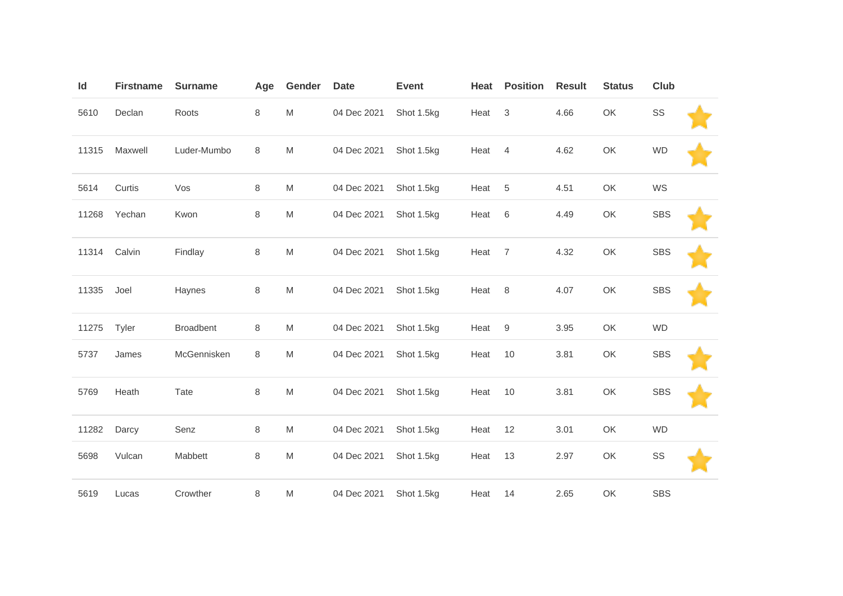| ld    | <b>Firstname</b> | <b>Surname</b>   | Age     | Gender | <b>Date</b> | <b>Event</b> | Heat | <b>Position</b> | <b>Result</b> | <b>Status</b> | Club       |  |
|-------|------------------|------------------|---------|--------|-------------|--------------|------|-----------------|---------------|---------------|------------|--|
| 5610  | Declan           | Roots            | 8       | M      | 04 Dec 2021 | Shot 1.5kg   | Heat | 3               | 4.66          | OK            | SS         |  |
| 11315 | Maxwell          | Luder-Mumbo      | $\,8\,$ | M      | 04 Dec 2021 | Shot 1.5kg   | Heat | $\overline{4}$  | 4.62          | OK            | <b>WD</b>  |  |
| 5614  | Curtis           | Vos              | 8       | M      | 04 Dec 2021 | Shot 1.5kg   | Heat | 5               | 4.51          | OK            | WS         |  |
| 11268 | Yechan           | Kwon             | 8       | M      | 04 Dec 2021 | Shot 1.5kg   | Heat | 6               | 4.49          | OK            | <b>SBS</b> |  |
| 11314 | Calvin           | Findlay          | 8       | M      | 04 Dec 2021 | Shot 1.5kg   | Heat | $\overline{7}$  | 4.32          | OK            | <b>SBS</b> |  |
| 11335 | Joel             | Haynes           | 8       | M      | 04 Dec 2021 | Shot 1.5kg   | Heat | 8               | 4.07          | OK            | <b>SBS</b> |  |
| 11275 | Tyler            | <b>Broadbent</b> | 8       | M      | 04 Dec 2021 | Shot 1.5kg   | Heat | 9               | 3.95          | OK            | <b>WD</b>  |  |
| 5737  | James            | McGennisken      | $\,8\,$ | M      | 04 Dec 2021 | Shot 1.5kg   | Heat | 10              | 3.81          | OK            | <b>SBS</b> |  |
| 5769  | Heath            | Tate             | 8       | M      | 04 Dec 2021 | Shot 1.5kg   | Heat | 10              | 3.81          | OK            | <b>SBS</b> |  |
| 11282 | Darcy            | Senz             | 8       | M      | 04 Dec 2021 | Shot 1.5kg   | Heat | 12              | 3.01          | OK            | <b>WD</b>  |  |
| 5698  | Vulcan           | Mabbett          | 8       | M      | 04 Dec 2021 | Shot 1.5kg   | Heat | 13              | 2.97          | OK            | SS         |  |
| 5619  | Lucas            | Crowther         | 8       | M      | 04 Dec 2021 | Shot 1.5kg   | Heat | 14              | 2.65          | OK            | <b>SBS</b> |  |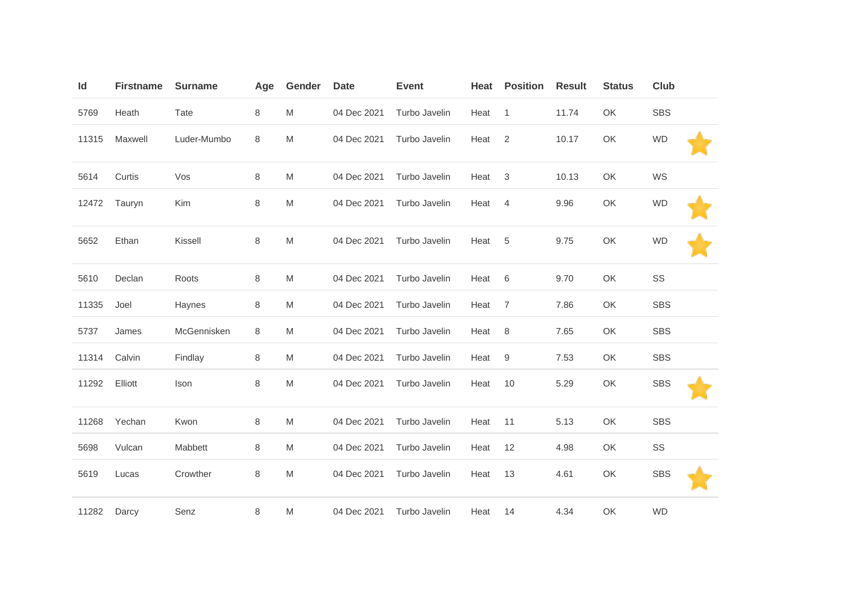| Id    | <b>Firstname</b> | <b>Surname</b> | Age     | Gender | <b>Date</b> | <b>Event</b>  | Heat | <b>Position</b> | <b>Result</b> | <b>Status</b> | <b>Club</b> |  |
|-------|------------------|----------------|---------|--------|-------------|---------------|------|-----------------|---------------|---------------|-------------|--|
| 5769  | Heath            | Tate           | 8       | M      | 04 Dec 2021 | Turbo Javelin | Heat | $\mathbf{1}$    | 11.74         | OK            | <b>SBS</b>  |  |
| 11315 | Maxwell          | Luder-Mumbo    | $\,8\,$ | M      | 04 Dec 2021 | Turbo Javelin | Heat | 2               | 10.17         | OK            | <b>WD</b>   |  |
| 5614  | Curtis           | Vos            | 8       | M      | 04 Dec 2021 | Turbo Javelin | Heat | $\sqrt{3}$      | 10.13         | OK            | WS          |  |
| 12472 | Tauryn           | Kim            | 8       | M      | 04 Dec 2021 | Turbo Javelin | Heat | 4               | 9.96          | OK            | <b>WD</b>   |  |
| 5652  | Ethan            | Kissell        | $\,8\,$ | M      | 04 Dec 2021 | Turbo Javelin | Heat | 5               | 9.75          | OK            | <b>WD</b>   |  |
| 5610  | Declan           | Roots          | $\,8\,$ | M      | 04 Dec 2021 | Turbo Javelin | Heat | 6               | 9.70          | OK            | SS          |  |
| 11335 | Joel             | Haynes         | 8       | M      | 04 Dec 2021 | Turbo Javelin | Heat | $\overline{7}$  | 7.86          | OK            | <b>SBS</b>  |  |
| 5737  | James            | McGennisken    | $\,8\,$ | M      | 04 Dec 2021 | Turbo Javelin | Heat | $\,8\,$         | 7.65          | OK            | <b>SBS</b>  |  |
| 11314 | Calvin           | Findlay        | 8       | M      | 04 Dec 2021 | Turbo Javelin | Heat | 9               | 7.53          | OK            | <b>SBS</b>  |  |
| 11292 | Elliott          | Ison           | $\,8\,$ | M      | 04 Dec 2021 | Turbo Javelin | Heat | 10              | 5.29          | OK            | <b>SBS</b>  |  |
| 11268 | Yechan           | Kwon           | $\,8\,$ | M      | 04 Dec 2021 | Turbo Javelin | Heat | 11              | 5.13          | OK            | <b>SBS</b>  |  |
| 5698  | Vulcan           | Mabbett        | 8       | M      | 04 Dec 2021 | Turbo Javelin | Heat | 12              | 4.98          | OK            | SS          |  |
| 5619  | Lucas            | Crowther       | $\,8\,$ | M      | 04 Dec 2021 | Turbo Javelin | Heat | 13              | 4.61          | OK            | <b>SBS</b>  |  |
| 11282 | Darcy            | Senz           | 8       | M      | 04 Dec 2021 | Turbo Javelin | Heat | 14              | 4.34          | OK            | <b>WD</b>   |  |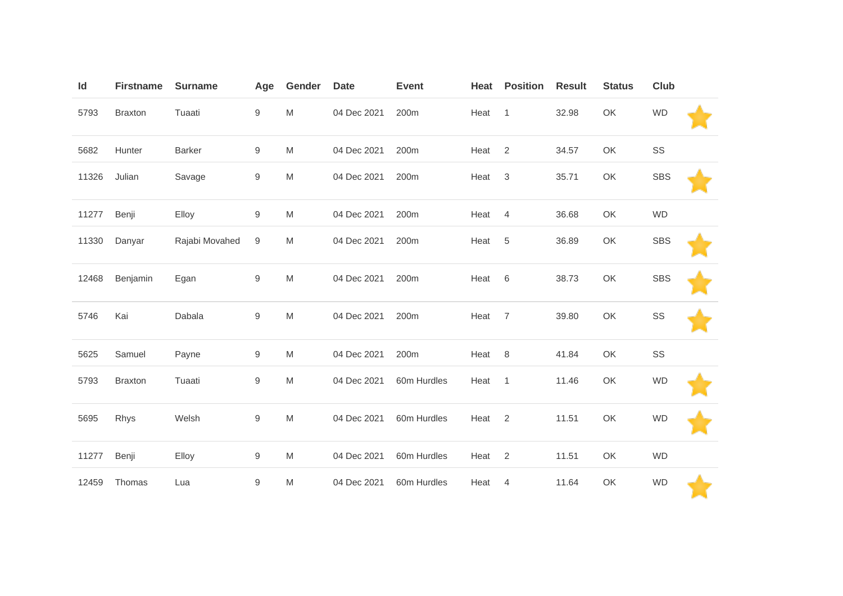| Id    | <b>Firstname</b> | <b>Surname</b> | Age              | Gender                                                                                                     | <b>Date</b> | <b>Event</b> | Heat | <b>Position</b> | <b>Result</b> | <b>Status</b> | Club       |  |
|-------|------------------|----------------|------------------|------------------------------------------------------------------------------------------------------------|-------------|--------------|------|-----------------|---------------|---------------|------------|--|
| 5793  | <b>Braxton</b>   | Tuaati         | $\boldsymbol{9}$ | M                                                                                                          | 04 Dec 2021 | 200m         | Heat | $\overline{1}$  | 32.98         | OK            | <b>WD</b>  |  |
| 5682  | Hunter           | <b>Barker</b>  | $\boldsymbol{9}$ | M                                                                                                          | 04 Dec 2021 | 200m         | Heat | $\sqrt{2}$      | 34.57         | OK            | SS         |  |
| 11326 | Julian           | Savage         | $\boldsymbol{9}$ | M                                                                                                          | 04 Dec 2021 | 200m         | Heat | $\sqrt{3}$      | 35.71         | OK            | <b>SBS</b> |  |
| 11277 | Benji            | Elloy          | $\boldsymbol{9}$ | M                                                                                                          | 04 Dec 2021 | 200m         | Heat | $\overline{4}$  | 36.68         | OK            | <b>WD</b>  |  |
| 11330 | Danyar           | Rajabi Movahed | 9                | M                                                                                                          | 04 Dec 2021 | 200m         | Heat | 5               | 36.89         | OK            | <b>SBS</b> |  |
| 12468 | Benjamin         | Egan           | 9                | $\mathsf{M}% _{T}=\mathsf{M}_{T}\!\left( a,b\right) ,\ \mathsf{M}_{T}=\mathsf{M}_{T}\!\left( a,b\right) ,$ | 04 Dec 2021 | 200m         | Heat | $\,6$           | 38.73         | OK            | <b>SBS</b> |  |
| 5746  | Kai              | Dabala         | $\boldsymbol{9}$ | M                                                                                                          | 04 Dec 2021 | 200m         | Heat | $\overline{7}$  | 39.80         | OK            | SS         |  |
| 5625  | Samuel           | Payne          | 9                | M                                                                                                          | 04 Dec 2021 | 200m         | Heat | $\,8\,$         | 41.84         | OK            | SS         |  |
| 5793  | <b>Braxton</b>   | Tuaati         | $\boldsymbol{9}$ | M                                                                                                          | 04 Dec 2021 | 60m Hurdles  | Heat | $\overline{1}$  | 11.46         | OK            | <b>WD</b>  |  |
| 5695  | Rhys             | Welsh          | 9                | M                                                                                                          | 04 Dec 2021 | 60m Hurdles  | Heat | $\overline{2}$  | 11.51         | OK            | <b>WD</b>  |  |
| 11277 | Benji            | Elloy          | 9                | M                                                                                                          | 04 Dec 2021 | 60m Hurdles  | Heat | 2               | 11.51         | OK            | <b>WD</b>  |  |
| 12459 | Thomas           | Lua            | $\boldsymbol{9}$ | M                                                                                                          | 04 Dec 2021 | 60m Hurdles  | Heat | 4               | 11.64         | OK            | <b>WD</b>  |  |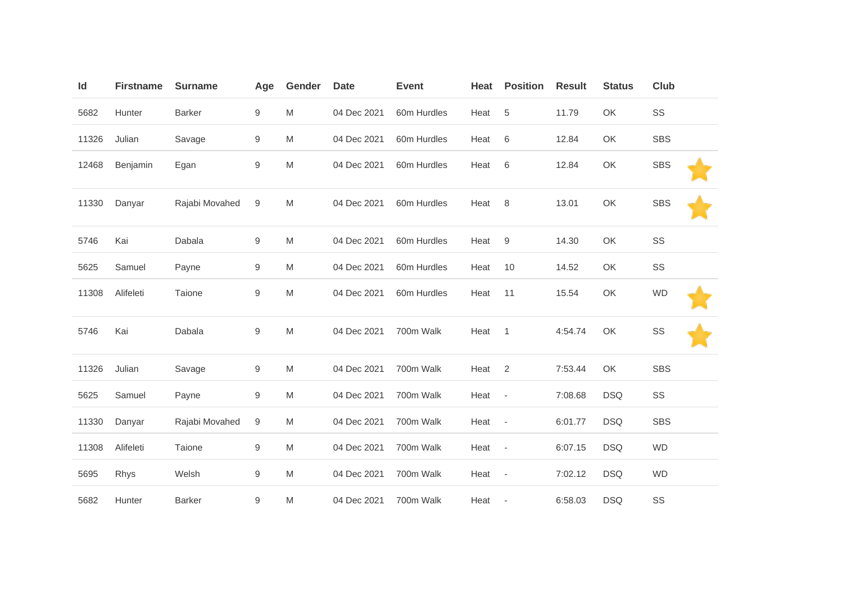| Id    | <b>Firstname</b> | <b>Surname</b> | Age              | Gender    | <b>Date</b> | <b>Event</b> | Heat | <b>Position</b>          | <b>Result</b> | <b>Status</b> | Club       |  |
|-------|------------------|----------------|------------------|-----------|-------------|--------------|------|--------------------------|---------------|---------------|------------|--|
| 5682  | Hunter           | <b>Barker</b>  | $\boldsymbol{9}$ | M         | 04 Dec 2021 | 60m Hurdles  | Heat | 5                        | 11.79         | OK            | SS         |  |
| 11326 | Julian           | Savage         | 9                | M         | 04 Dec 2021 | 60m Hurdles  | Heat | 6                        | 12.84         | OK            | <b>SBS</b> |  |
| 12468 | Benjamin         | Egan           | $\boldsymbol{9}$ | ${\sf M}$ | 04 Dec 2021 | 60m Hurdles  | Heat | 6                        | 12.84         | OK            | <b>SBS</b> |  |
| 11330 | Danyar           | Rajabi Movahed | 9                | M         | 04 Dec 2021 | 60m Hurdles  | Heat | 8                        | 13.01         | OK            | <b>SBS</b> |  |
| 5746  | Kai              | Dabala         | $\boldsymbol{9}$ | M         | 04 Dec 2021 | 60m Hurdles  | Heat | 9                        | 14.30         | OK            | SS         |  |
| 5625  | Samuel           | Payne          | $\boldsymbol{9}$ | M         | 04 Dec 2021 | 60m Hurdles  | Heat | 10                       | 14.52         | OK            | SS         |  |
| 11308 | Alifeleti        | Taione         | $\boldsymbol{9}$ | M         | 04 Dec 2021 | 60m Hurdles  | Heat | 11                       | 15.54         | OK            | <b>WD</b>  |  |
| 5746  | Kai              | Dabala         | $\boldsymbol{9}$ | ${\sf M}$ | 04 Dec 2021 | 700m Walk    | Heat | $\mathbf{1}$             | 4:54.74       | OK            | SS         |  |
| 11326 | Julian           | Savage         | $\boldsymbol{9}$ | M         | 04 Dec 2021 | 700m Walk    | Heat | 2                        | 7:53.44       | OK            | <b>SBS</b> |  |
| 5625  | Samuel           | Payne          | $\boldsymbol{9}$ | M         | 04 Dec 2021 | 700m Walk    | Heat | $\overline{\phantom{a}}$ | 7:08.68       | <b>DSQ</b>    | SS         |  |
| 11330 | Danyar           | Rajabi Movahed | 9                | M         | 04 Dec 2021 | 700m Walk    | Heat | $\overline{\phantom{a}}$ | 6:01.77       | <b>DSQ</b>    | <b>SBS</b> |  |
| 11308 | Alifeleti        | Taione         | 9                | M         | 04 Dec 2021 | 700m Walk    | Heat | $\overline{\phantom{a}}$ | 6:07.15       | <b>DSQ</b>    | <b>WD</b>  |  |
| 5695  | Rhys             | Welsh          | $\boldsymbol{9}$ | M         | 04 Dec 2021 | 700m Walk    | Heat | $\sim$                   | 7:02.12       | <b>DSQ</b>    | <b>WD</b>  |  |
| 5682  | Hunter           | <b>Barker</b>  | 9                | M         | 04 Dec 2021 | 700m Walk    | Heat | $\overline{\phantom{a}}$ | 6:58.03       | <b>DSQ</b>    | SS         |  |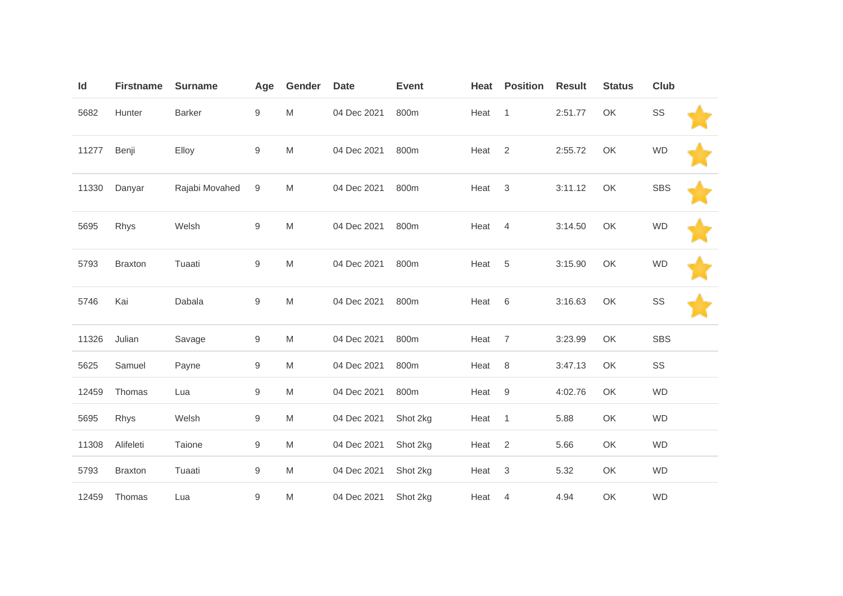| Id    | <b>Firstname</b> | <b>Surname</b> | Age              | Gender | <b>Date</b> | <b>Event</b> | Heat | <b>Position</b> | <b>Result</b> | <b>Status</b> | <b>Club</b> |  |
|-------|------------------|----------------|------------------|--------|-------------|--------------|------|-----------------|---------------|---------------|-------------|--|
| 5682  | Hunter           | Barker         | 9                | M      | 04 Dec 2021 | 800m         | Heat | $\mathbf{1}$    | 2:51.77       | OK            | SS          |  |
| 11277 | Benji            | Elloy          | $\hbox{9}$       | M      | 04 Dec 2021 | 800m         | Heat | 2               | 2:55.72       | OK            | <b>WD</b>   |  |
| 11330 | Danyar           | Rajabi Movahed | 9                | M      | 04 Dec 2021 | 800m         | Heat | $\mathbf{3}$    | 3:11.12       | OK            | <b>SBS</b>  |  |
| 5695  | Rhys             | Welsh          | $\hbox{9}$       | M      | 04 Dec 2021 | 800m         | Heat | $\overline{4}$  | 3:14.50       | OK            | <b>WD</b>   |  |
| 5793  | <b>Braxton</b>   | Tuaati         | $\boldsymbol{9}$ | M      | 04 Dec 2021 | 800m         | Heat | $\overline{5}$  | 3:15.90       | OK            | <b>WD</b>   |  |
| 5746  | Kai              | Dabala         | $\hbox{9}$       | M      | 04 Dec 2021 | 800m         | Heat | 6               | 3:16.63       | OK            | SS          |  |
| 11326 | Julian           | Savage         | 9                | M      | 04 Dec 2021 | 800m         | Heat | $\overline{7}$  | 3:23.99       | OK            | <b>SBS</b>  |  |
| 5625  | Samuel           | Payne          | 9                | M      | 04 Dec 2021 | 800m         | Heat | $\,8\,$         | 3:47.13       | OK            | SS          |  |
| 12459 | Thomas           | Lua            | 9                | M      | 04 Dec 2021 | 800m         | Heat | 9               | 4:02.76       | OK            | <b>WD</b>   |  |
| 5695  | Rhys             | Welsh          | 9                | M      | 04 Dec 2021 | Shot 2kg     | Heat | $\overline{1}$  | 5.88          | OK            | WD          |  |
| 11308 | Alifeleti        | Taione         | $\boldsymbol{9}$ | M      | 04 Dec 2021 | Shot 2kg     | Heat | 2               | 5.66          | OK            | <b>WD</b>   |  |
| 5793  | <b>Braxton</b>   | Tuaati         | 9                | M      | 04 Dec 2021 | Shot 2kg     | Heat | $\mathbf{3}$    | 5.32          | OK            | <b>WD</b>   |  |
| 12459 | Thomas           | Lua            | $\boldsymbol{9}$ | M      | 04 Dec 2021 | Shot 2kg     | Heat | 4               | 4.94          | OK            | <b>WD</b>   |  |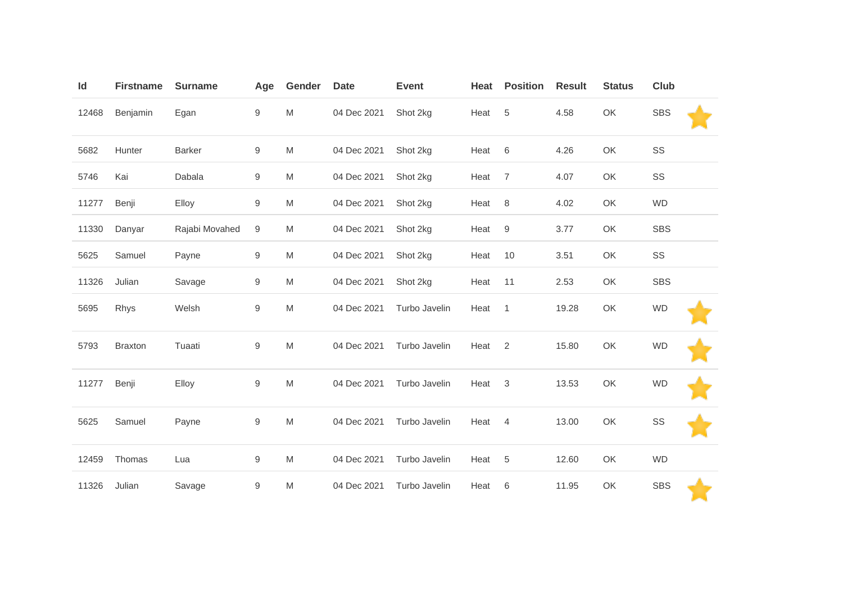| Id    | <b>Firstname</b> | <b>Surname</b> | Age              | Gender | <b>Date</b> | <b>Event</b>  | Heat | <b>Position</b> | <b>Result</b> | <b>Status</b> | Club       |  |
|-------|------------------|----------------|------------------|--------|-------------|---------------|------|-----------------|---------------|---------------|------------|--|
| 12468 | Benjamin         | Egan           | 9                | M      | 04 Dec 2021 | Shot 2kg      | Heat | $\sqrt{5}$      | 4.58          | OK            | <b>SBS</b> |  |
| 5682  | Hunter           | Barker         | 9                | M      | 04 Dec 2021 | Shot 2kg      | Heat | 6               | 4.26          | OK            | SS         |  |
| 5746  | Kai              | Dabala         | 9                | M      | 04 Dec 2021 | Shot 2kg      | Heat | $\overline{7}$  | 4.07          | OK            | SS         |  |
| 11277 | Benji            | Elloy          | 9                | M      | 04 Dec 2021 | Shot 2kg      | Heat | $\,8\,$         | 4.02          | OK            | <b>WD</b>  |  |
| 11330 | Danyar           | Rajabi Movahed | $\boldsymbol{9}$ | M      | 04 Dec 2021 | Shot 2kg      | Heat | $9\,$           | 3.77          | OK            | <b>SBS</b> |  |
| 5625  | Samuel           | Payne          | 9                | M      | 04 Dec 2021 | Shot 2kg      | Heat | 10              | 3.51          | OK            | SS         |  |
| 11326 | Julian           | Savage         | 9                | M      | 04 Dec 2021 | Shot 2kg      | Heat | 11              | 2.53          | OK            | <b>SBS</b> |  |
| 5695  | Rhys             | Welsh          | $\boldsymbol{9}$ | M      | 04 Dec 2021 | Turbo Javelin | Heat | $\mathbf{1}$    | 19.28         | OK            | <b>WD</b>  |  |
| 5793  | <b>Braxton</b>   | Tuaati         | 9                | M      | 04 Dec 2021 | Turbo Javelin | Heat | $\overline{2}$  | 15.80         | OK            | <b>WD</b>  |  |
| 11277 | Benji            | Elloy          | 9                | M      | 04 Dec 2021 | Turbo Javelin | Heat | $\sqrt{3}$      | 13.53         | OK            | <b>WD</b>  |  |
| 5625  | Samuel           | Payne          | 9                | M      | 04 Dec 2021 | Turbo Javelin | Heat | 4               | 13.00         | OK            | SS         |  |
| 12459 | Thomas           | Lua            | 9                | M      | 04 Dec 2021 | Turbo Javelin | Heat | 5               | 12.60         | OK            | <b>WD</b>  |  |
| 11326 | Julian           | Savage         | $\boldsymbol{9}$ | M      | 04 Dec 2021 | Turbo Javelin | Heat | 6               | 11.95         | OK            | <b>SBS</b> |  |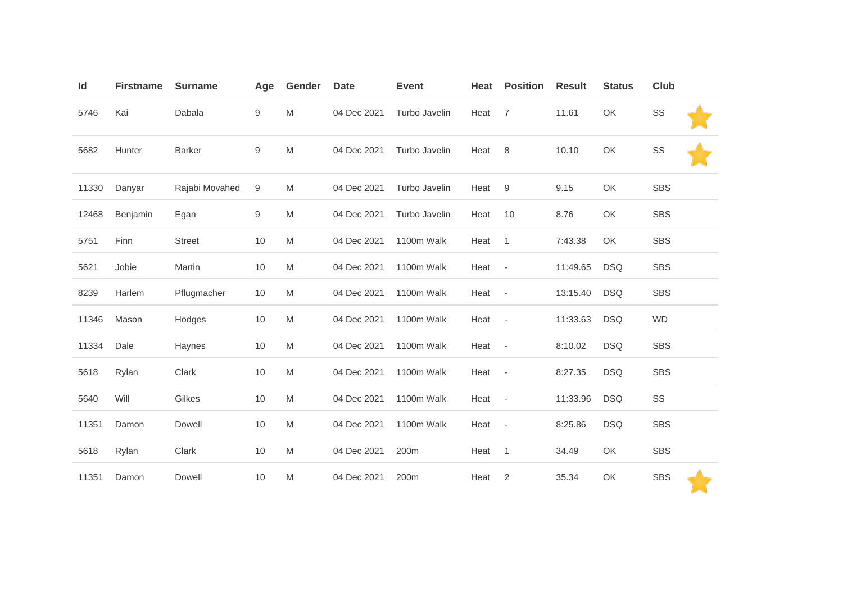| Id    | <b>Firstname</b> | <b>Surname</b> | Age              | Gender                                                                                                     | <b>Date</b> | <b>Event</b>  | Heat | <b>Position</b>          | <b>Result</b> | <b>Status</b> | <b>Club</b> |
|-------|------------------|----------------|------------------|------------------------------------------------------------------------------------------------------------|-------------|---------------|------|--------------------------|---------------|---------------|-------------|
| 5746  | Kai              | Dabala         | $\boldsymbol{9}$ | $\mathsf{M}% _{T}=\mathsf{M}_{T}\!\left( a,b\right) ,\ \mathsf{M}_{T}=\mathsf{M}_{T}\!\left( a,b\right) ,$ | 04 Dec 2021 | Turbo Javelin | Heat | 7                        | 11.61         | OK            | SS          |
| 5682  | Hunter           | <b>Barker</b>  | $\boldsymbol{9}$ | M                                                                                                          | 04 Dec 2021 | Turbo Javelin | Heat | 8                        | 10.10         | OK            | SS          |
| 11330 | Danyar           | Rajabi Movahed | 9                | M                                                                                                          | 04 Dec 2021 | Turbo Javelin | Heat | 9                        | 9.15          | OK            | <b>SBS</b>  |
| 12468 | Benjamin         | Egan           | 9                | M                                                                                                          | 04 Dec 2021 | Turbo Javelin | Heat | 10                       | 8.76          | OK            | <b>SBS</b>  |
| 5751  | Finn             | <b>Street</b>  | 10               | M                                                                                                          | 04 Dec 2021 | 1100m Walk    | Heat | $\mathbf{1}$             | 7:43.38       | OK            | <b>SBS</b>  |
| 5621  | Jobie            | Martin         | 10               | M                                                                                                          | 04 Dec 2021 | 1100m Walk    | Heat | $\sim$ $-$               | 11:49.65      | <b>DSQ</b>    | <b>SBS</b>  |
| 8239  | Harlem           | Pflugmacher    | 10               | M                                                                                                          | 04 Dec 2021 | 1100m Walk    | Heat | $\overline{\phantom{a}}$ | 13:15.40      | <b>DSQ</b>    | <b>SBS</b>  |
| 11346 | Mason            | Hodges         | 10               | M                                                                                                          | 04 Dec 2021 | 1100m Walk    | Heat | $\overline{\phantom{a}}$ | 11:33.63      | <b>DSQ</b>    | <b>WD</b>   |
| 11334 | Dale             | Haynes         | 10               | M                                                                                                          | 04 Dec 2021 | 1100m Walk    | Heat | $\overline{\phantom{a}}$ | 8:10.02       | <b>DSQ</b>    | <b>SBS</b>  |
| 5618  | Rylan            | Clark          | 10               | M                                                                                                          | 04 Dec 2021 | 1100m Walk    | Heat | $\overline{\phantom{a}}$ | 8:27.35       | <b>DSQ</b>    | <b>SBS</b>  |
| 5640  | Will             | Gilkes         | 10               | M                                                                                                          | 04 Dec 2021 | 1100m Walk    | Heat | $\overline{\phantom{a}}$ | 11:33.96      | <b>DSQ</b>    | SS          |
| 11351 | Damon            | Dowell         | 10               | M                                                                                                          | 04 Dec 2021 | 1100m Walk    | Heat | $\overline{\phantom{a}}$ | 8:25.86       | <b>DSQ</b>    | <b>SBS</b>  |
| 5618  | Rylan            | Clark          | 10               | M                                                                                                          | 04 Dec 2021 | 200m          | Heat | $\mathbf{1}$             | 34.49         | OK            | <b>SBS</b>  |
| 11351 | Damon            | Dowell         | 10               | M                                                                                                          | 04 Dec 2021 | 200m          | Heat | $\overline{2}$           | 35.34         | OK            | <b>SBS</b>  |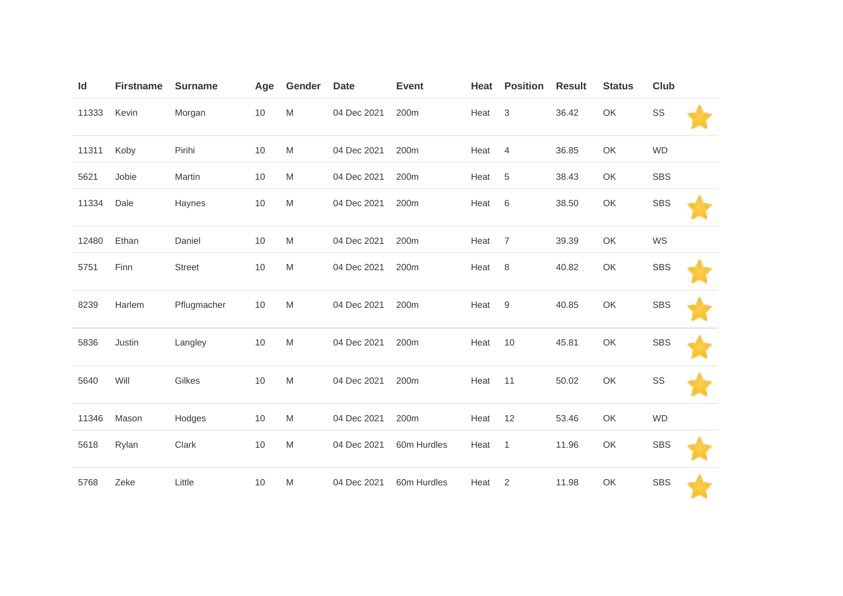| Id    | <b>Firstname</b> | <b>Surname</b> | Age | Gender | <b>Date</b> | <b>Event</b> | Heat | <b>Position</b> | <b>Result</b> | <b>Status</b> | <b>Club</b> |  |
|-------|------------------|----------------|-----|--------|-------------|--------------|------|-----------------|---------------|---------------|-------------|--|
| 11333 | Kevin            | Morgan         | 10  | M      | 04 Dec 2021 | 200m         | Heat | $\sqrt{3}$      | 36.42         | OK            | SS          |  |
| 11311 | Koby             | Pirihi         | 10  | M      | 04 Dec 2021 | 200m         | Heat | 4               | 36.85         | OK            | <b>WD</b>   |  |
| 5621  | Jobie            | Martin         | 10  | M      | 04 Dec 2021 | 200m         | Heat | $\,$ 5 $\,$     | 38.43         | OK            | SBS         |  |
| 11334 | Dale             | Haynes         | 10  | M      | 04 Dec 2021 | 200m         | Heat | 6               | 38.50         | OK            | <b>SBS</b>  |  |
| 12480 | Ethan            | Daniel         | 10  | M      | 04 Dec 2021 | 200m         | Heat | $\overline{7}$  | 39.39         | OK            | WS          |  |
| 5751  | Finn             | <b>Street</b>  | 10  | M      | 04 Dec 2021 | 200m         | Heat | $\,8\,$         | 40.82         | OK            | <b>SBS</b>  |  |
| 8239  | Harlem           | Pflugmacher    | 10  | M      | 04 Dec 2021 | 200m         | Heat | 9               | 40.85         | OK            | <b>SBS</b>  |  |
| 5836  | Justin           | Langley        | 10  | M      | 04 Dec 2021 | 200m         | Heat | 10              | 45.81         | OK            | <b>SBS</b>  |  |
| 5640  | Will             | Gilkes         | 10  | M      | 04 Dec 2021 | 200m         | Heat | 11              | 50.02         | OK            | SS          |  |
| 11346 | Mason            | Hodges         | 10  | M      | 04 Dec 2021 | 200m         | Heat | 12              | 53.46         | OK            | <b>WD</b>   |  |
| 5618  | Rylan            | Clark          | 10  | M      | 04 Dec 2021 | 60m Hurdles  | Heat | $\overline{1}$  | 11.96         | OK            | <b>SBS</b>  |  |
| 5768  | Zeke             | Little         | 10  | M      | 04 Dec 2021 | 60m Hurdles  | Heat | $\sqrt{2}$      | 11.98         | OK            | <b>SBS</b>  |  |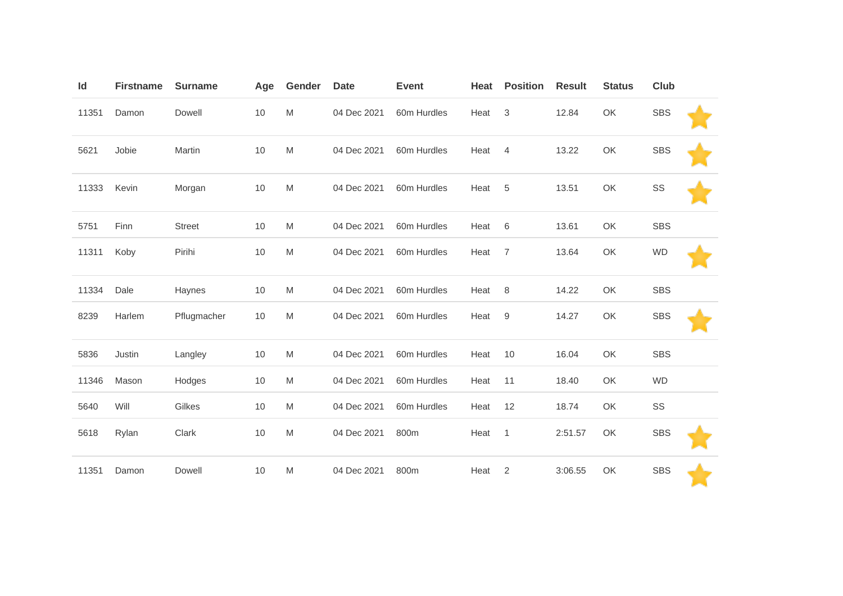| Id    | <b>Firstname</b> | <b>Surname</b> | Age | Gender    | <b>Date</b> | <b>Event</b> | Heat | <b>Position</b> | <b>Result</b> | <b>Status</b> | Club       |  |
|-------|------------------|----------------|-----|-----------|-------------|--------------|------|-----------------|---------------|---------------|------------|--|
| 11351 | Damon            | Dowell         | 10  | M         | 04 Dec 2021 | 60m Hurdles  | Heat | 3               | 12.84         | OK            | <b>SBS</b> |  |
| 5621  | Jobie            | Martin         | 10  | M         | 04 Dec 2021 | 60m Hurdles  | Heat | 4               | 13.22         | OK            | <b>SBS</b> |  |
| 11333 | Kevin            | Morgan         | 10  | M         | 04 Dec 2021 | 60m Hurdles  | Heat | 5               | 13.51         | OK            | SS         |  |
| 5751  | Finn             | <b>Street</b>  | 10  | M         | 04 Dec 2021 | 60m Hurdles  | Heat | 6               | 13.61         | OK            | <b>SBS</b> |  |
| 11311 | Koby             | Pirihi         | 10  | M         | 04 Dec 2021 | 60m Hurdles  | Heat | 7               | 13.64         | OK            | <b>WD</b>  |  |
| 11334 | Dale             | Haynes         | 10  | M         | 04 Dec 2021 | 60m Hurdles  | Heat | $\,8\,$         | 14.22         | OK            | <b>SBS</b> |  |
| 8239  | Harlem           | Pflugmacher    | 10  | M         | 04 Dec 2021 | 60m Hurdles  | Heat | 9               | 14.27         | OK            | <b>SBS</b> |  |
| 5836  | Justin           | Langley        | 10  | M         | 04 Dec 2021 | 60m Hurdles  | Heat | 10              | 16.04         | OK            | <b>SBS</b> |  |
| 11346 | Mason            | Hodges         | 10  | M         | 04 Dec 2021 | 60m Hurdles  | Heat | 11              | 18.40         | OK            | <b>WD</b>  |  |
| 5640  | Will             | Gilkes         | 10  | M         | 04 Dec 2021 | 60m Hurdles  | Heat | 12              | 18.74         | OK            | SS         |  |
| 5618  | Rylan            | Clark          | 10  | ${\sf M}$ | 04 Dec 2021 | 800m         | Heat | $\mathbf{1}$    | 2:51.57       | OK            | <b>SBS</b> |  |
| 11351 | Damon            | Dowell         | 10  | M         | 04 Dec 2021 | 800m         | Heat | $\overline{2}$  | 3:06.55       | OK            | <b>SBS</b> |  |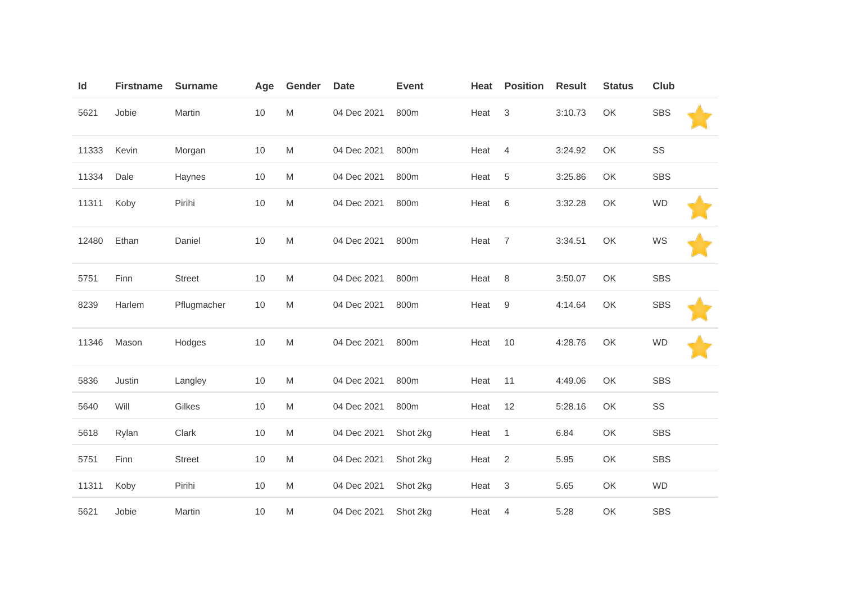| Id    | <b>Firstname</b> | <b>Surname</b> | Age  | Gender    | <b>Date</b> | <b>Event</b> | Heat | <b>Position</b>           | <b>Result</b> | <b>Status</b> | Club       |
|-------|------------------|----------------|------|-----------|-------------|--------------|------|---------------------------|---------------|---------------|------------|
| 5621  | Jobie            | Martin         | $10$ | ${\sf M}$ | 04 Dec 2021 | 800m         | Heat | $\ensuremath{\mathsf{3}}$ | 3:10.73       | OK            | <b>SBS</b> |
| 11333 | Kevin            | Morgan         | 10   | M         | 04 Dec 2021 | 800m         | Heat | $\overline{4}$            | 3:24.92       | OK            | SS         |
| 11334 | Dale             | Haynes         | 10   | M         | 04 Dec 2021 | 800m         | Heat | 5                         | 3:25.86       | OK            | <b>SBS</b> |
| 11311 | Koby             | Pirihi         | 10   | M         | 04 Dec 2021 | 800m         | Heat | 6                         | 3:32.28       | OK            | <b>WD</b>  |
| 12480 | Ethan            | Daniel         | 10   | M         | 04 Dec 2021 | 800m         | Heat | $\overline{7}$            | 3:34.51       | OK            | WS         |
| 5751  | Finn             | <b>Street</b>  | 10   | M         | 04 Dec 2021 | 800m         | Heat | 8                         | 3:50.07       | OK            | <b>SBS</b> |
| 8239  | Harlem           | Pflugmacher    | $10$ | ${\sf M}$ | 04 Dec 2021 | 800m         | Heat | $\boldsymbol{9}$          | 4:14.64       | OK            | <b>SBS</b> |
| 11346 | Mason            | Hodges         | 10   | M         | 04 Dec 2021 | 800m         | Heat | 10                        | 4:28.76       | OK            | <b>WD</b>  |
| 5836  | Justin           | Langley        | 10   | M         | 04 Dec 2021 | 800m         | Heat | 11                        | 4:49.06       | OK            | <b>SBS</b> |
| 5640  | Will             | Gilkes         | $10$ | M         | 04 Dec 2021 | 800m         | Heat | 12                        | 5:28.16       | OK            | SS         |
| 5618  | Rylan            | Clark          | 10   | M         | 04 Dec 2021 | Shot 2kg     | Heat | $\mathbf{1}$              | 6.84          | OK            | <b>SBS</b> |
| 5751  | Finn             | <b>Street</b>  | 10   | M         | 04 Dec 2021 | Shot 2kg     | Heat | 2                         | 5.95          | OK            | <b>SBS</b> |
| 11311 | Koby             | Pirihi         | 10   | M         | 04 Dec 2021 | Shot 2kg     | Heat | 3                         | 5.65          | OK            | <b>WD</b>  |
| 5621  | Jobie            | Martin         | $10$ | M         | 04 Dec 2021 | Shot 2kg     | Heat | 4                         | 5.28          | OK            | <b>SBS</b> |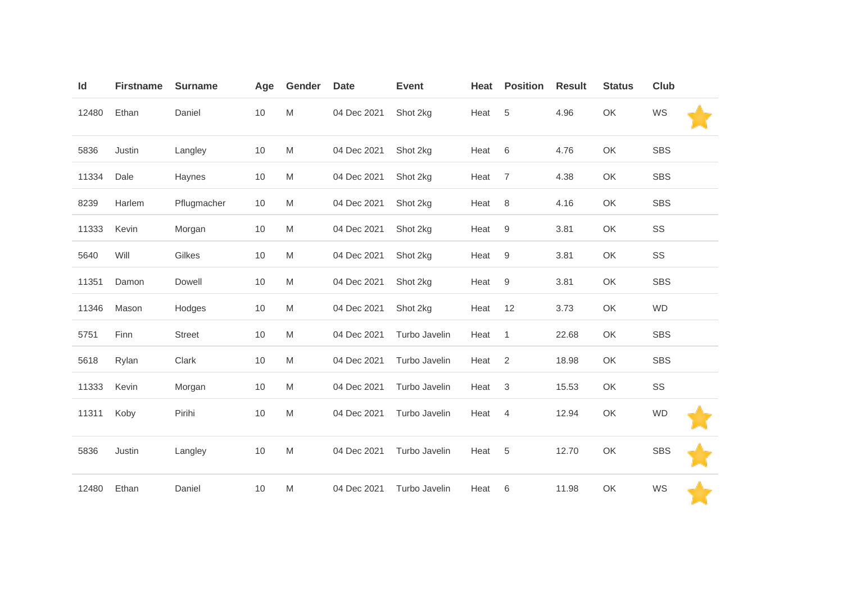| Id    | <b>Firstname</b> | <b>Surname</b> | Age | Gender | <b>Date</b> | <b>Event</b>  | Heat | <b>Position</b>  | <b>Result</b> | <b>Status</b> | <b>Club</b> |
|-------|------------------|----------------|-----|--------|-------------|---------------|------|------------------|---------------|---------------|-------------|
| 12480 | Ethan            | Daniel         | 10  | M      | 04 Dec 2021 | Shot 2kg      | Heat | 5                | 4.96          | OK            | WS          |
| 5836  | Justin           | Langley        | 10  | M      | 04 Dec 2021 | Shot 2kg      | Heat | 6                | 4.76          | OK            | <b>SBS</b>  |
| 11334 | Dale             | Haynes         | 10  | M      | 04 Dec 2021 | Shot 2kg      | Heat | $\overline{7}$   | 4.38          | OK            | <b>SBS</b>  |
| 8239  | Harlem           | Pflugmacher    | 10  | M      | 04 Dec 2021 | Shot 2kg      | Heat | $\,8\,$          | 4.16          | OK            | <b>SBS</b>  |
| 11333 | Kevin            | Morgan         | 10  | M      | 04 Dec 2021 | Shot 2kg      | Heat | 9                | 3.81          | OK            | SS          |
| 5640  | Will             | Gilkes         | 10  | M      | 04 Dec 2021 | Shot 2kg      | Heat | $\boldsymbol{9}$ | 3.81          | OK            | SS          |
| 11351 | Damon            | Dowell         | 10  | M      | 04 Dec 2021 | Shot 2kg      | Heat | $\boldsymbol{9}$ | 3.81          | OK            | <b>SBS</b>  |
| 11346 | Mason            | Hodges         | 10  | M      | 04 Dec 2021 | Shot 2kg      | Heat | 12               | 3.73          | OK            | <b>WD</b>   |
| 5751  | Finn             | <b>Street</b>  | 10  | M      | 04 Dec 2021 | Turbo Javelin | Heat | $\mathbf{1}$     | 22.68         | OK            | <b>SBS</b>  |
| 5618  | Rylan            | Clark          | 10  | M      | 04 Dec 2021 | Turbo Javelin | Heat | 2                | 18.98         | OK            | <b>SBS</b>  |
| 11333 | Kevin            | Morgan         | 10  | M      | 04 Dec 2021 | Turbo Javelin | Heat | 3                | 15.53         | OK            | SS          |
| 11311 | Koby             | Pirihi         | 10  | M      | 04 Dec 2021 | Turbo Javelin | Heat | 4                | 12.94         | OK            | <b>WD</b>   |
| 5836  | Justin           | Langley        | 10  | M      | 04 Dec 2021 | Turbo Javelin | Heat | 5                | 12.70         | OK            | <b>SBS</b>  |
| 12480 | Ethan            | Daniel         | 10  | M      | 04 Dec 2021 | Turbo Javelin | Heat | 6                | 11.98         | OK            | WS          |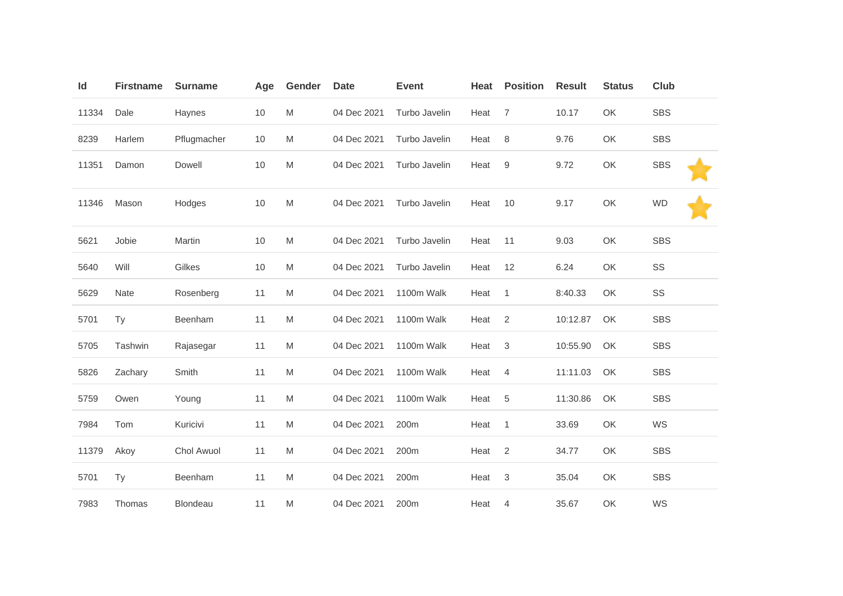| Id    | <b>Firstname</b> | <b>Surname</b>  | Age | Gender | <b>Date</b> | <b>Event</b>  | <b>Heat</b> | <b>Position</b> | <b>Result</b> | <b>Status</b> | Club       |
|-------|------------------|-----------------|-----|--------|-------------|---------------|-------------|-----------------|---------------|---------------|------------|
| 11334 | Dale             | Haynes          | 10  | M      | 04 Dec 2021 | Turbo Javelin | Heat        | $\overline{7}$  | 10.17         | OK            | <b>SBS</b> |
| 8239  | Harlem           | Pflugmacher     | 10  | M      | 04 Dec 2021 | Turbo Javelin | Heat        | 8               | 9.76          | OK            | <b>SBS</b> |
| 11351 | Damon            | Dowell          | 10  | M      | 04 Dec 2021 | Turbo Javelin | Heat        | 9               | 9.72          | OK            | <b>SBS</b> |
| 11346 | Mason            | Hodges          | 10  | M      | 04 Dec 2021 | Turbo Javelin | Heat        | 10              | 9.17          | OK            | <b>WD</b>  |
| 5621  | Jobie            | Martin          | 10  | M      | 04 Dec 2021 | Turbo Javelin | Heat        | 11              | 9.03          | OK            | <b>SBS</b> |
| 5640  | Will             | Gilkes          | 10  | M      | 04 Dec 2021 | Turbo Javelin | Heat        | 12              | 6.24          | OK            | SS         |
| 5629  | Nate             | Rosenberg       | 11  | M      | 04 Dec 2021 | 1100m Walk    | Heat        | $\mathbf{1}$    | 8:40.33       | OK            | SS         |
| 5701  | Ty               | Beenham         | 11  | M      | 04 Dec 2021 | 1100m Walk    | Heat        | 2               | 10:12.87      | OK            | <b>SBS</b> |
| 5705  | Tashwin          | Rajasegar       | 11  | M      | 04 Dec 2021 | 1100m Walk    | Heat        | $\mathbf{3}$    | 10:55.90      | OK            | <b>SBS</b> |
| 5826  | Zachary          | Smith           | 11  | M      | 04 Dec 2021 | 1100m Walk    | Heat        | $\overline{4}$  | 11:11.03      | OK            | <b>SBS</b> |
| 5759  | Owen             | Young           | 11  | M      | 04 Dec 2021 | 1100m Walk    | Heat        | 5               | 11:30.86      | OK            | <b>SBS</b> |
| 7984  | Tom              | Kuricivi        | 11  | M      | 04 Dec 2021 | 200m          | Heat        | $\mathbf{1}$    | 33.69         | OK            | WS         |
| 11379 | Akoy             | Chol Awuol      | 11  | M      | 04 Dec 2021 | 200m          | Heat        | 2               | 34.77         | OK            | <b>SBS</b> |
| 5701  | <b>Ty</b>        | Beenham         | 11  | M      | 04 Dec 2021 | 200m          | Heat        | 3               | 35.04         | OK            | <b>SBS</b> |
| 7983  | Thomas           | <b>Blondeau</b> | 11  | M      | 04 Dec 2021 | 200m          | Heat        | 4               | 35.67         | OK            | WS         |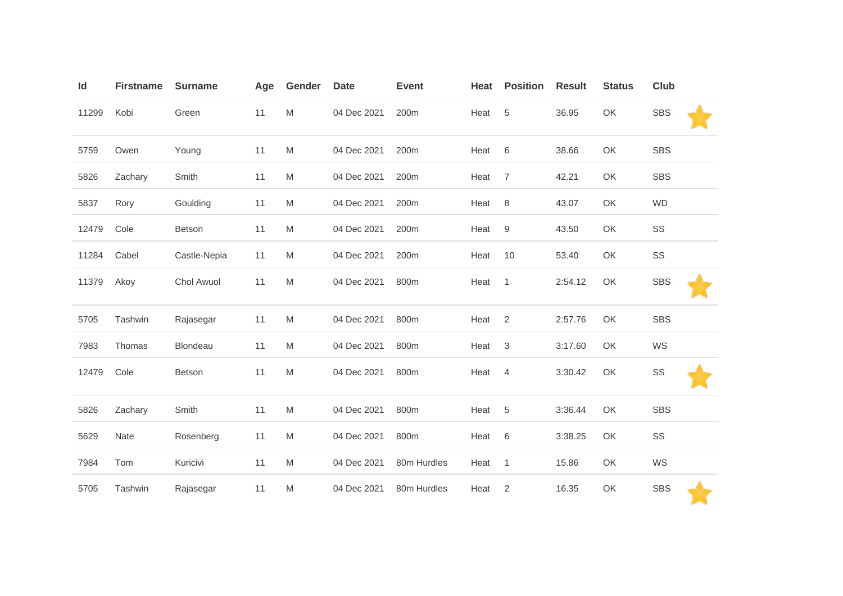| Id    | <b>Firstname</b> | <b>Surname</b> | Age | Gender                                                                                                     | <b>Date</b> | <b>Event</b> | Heat | <b>Position</b>  | <b>Result</b> | <b>Status</b> | <b>Club</b> |
|-------|------------------|----------------|-----|------------------------------------------------------------------------------------------------------------|-------------|--------------|------|------------------|---------------|---------------|-------------|
| 11299 | Kobi             | Green          | 11  | M                                                                                                          | 04 Dec 2021 | 200m         | Heat | 5                | 36.95         | OK            | <b>SBS</b>  |
| 5759  | Owen             | Young          | 11  | M                                                                                                          | 04 Dec 2021 | 200m         | Heat | $\,6$            | 38.66         | OK            | <b>SBS</b>  |
| 5826  | Zachary          | Smith          | 11  | M                                                                                                          | 04 Dec 2021 | 200m         | Heat | $\overline{7}$   | 42.21         | OK            | <b>SBS</b>  |
| 5837  | Rory             | Goulding       | 11  | M                                                                                                          | 04 Dec 2021 | 200m         | Heat | $\,8\,$          | 43.07         | OK            | <b>WD</b>   |
| 12479 | Cole             | Betson         | 11  | M                                                                                                          | 04 Dec 2021 | 200m         | Heat | $\boldsymbol{9}$ | 43.50         | OK            | SS          |
| 11284 | Cabel            | Castle-Nepia   | 11  | M                                                                                                          | 04 Dec 2021 | 200m         | Heat | 10               | 53.40         | OK            | SS          |
| 11379 | Akoy             | Chol Awuol     | 11  | M                                                                                                          | 04 Dec 2021 | 800m         | Heat | 1                | 2:54.12       | OK            | <b>SBS</b>  |
| 5705  | Tashwin          | Rajasegar      | 11  | M                                                                                                          | 04 Dec 2021 | 800m         | Heat | $\overline{2}$   | 2:57.76       | OK            | <b>SBS</b>  |
| 7983  | Thomas           | Blondeau       | 11  | M                                                                                                          | 04 Dec 2021 | 800m         | Heat | $\sqrt{3}$       | 3:17.60       | OK            | WS          |
| 12479 | Cole             | Betson         | 11  | M                                                                                                          | 04 Dec 2021 | 800m         | Heat | $\overline{4}$   | 3:30.42       | OK            | SS          |
| 5826  | Zachary          | Smith          | 11  | M                                                                                                          | 04 Dec 2021 | 800m         | Heat | 5                | 3:36.44       | OK            | <b>SBS</b>  |
| 5629  | Nate             | Rosenberg      | 11  | M                                                                                                          | 04 Dec 2021 | 800m         | Heat | $\,6$            | 3:38.25       | OK            | SS          |
| 7984  | Tom              | Kuricivi       | 11  | M                                                                                                          | 04 Dec 2021 | 80m Hurdles  | Heat | $\mathbf{1}$     | 15.86         | OK            | WS          |
| 5705  | Tashwin          | Rajasegar      | 11  | $\mathsf{M}% _{T}=\mathsf{M}_{T}\!\left( a,b\right) ,\ \mathsf{M}_{T}=\mathsf{M}_{T}\!\left( a,b\right) ,$ | 04 Dec 2021 | 80m Hurdles  | Heat | $\sqrt{2}$       | 16.35         | OK            | <b>SBS</b>  |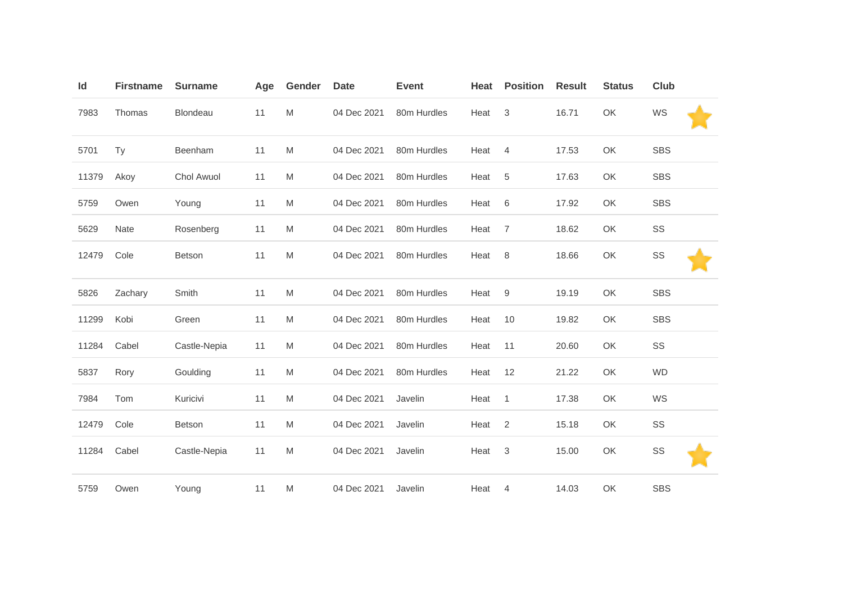| ld    | <b>Firstname</b> | <b>Surname</b> | Age | Gender | <b>Date</b> | <b>Event</b> | Heat | <b>Position</b> | <b>Result</b> | <b>Status</b> | Club       |  |
|-------|------------------|----------------|-----|--------|-------------|--------------|------|-----------------|---------------|---------------|------------|--|
| 7983  | Thomas           | Blondeau       | 11  | M      | 04 Dec 2021 | 80m Hurdles  | Heat | 3               | 16.71         | OK            | WS         |  |
| 5701  | <b>Ty</b>        | Beenham        | 11  | M      | 04 Dec 2021 | 80m Hurdles  | Heat | $\overline{4}$  | 17.53         | OK            | <b>SBS</b> |  |
| 11379 | Akoy             | Chol Awuol     | 11  | M      | 04 Dec 2021 | 80m Hurdles  | Heat | 5               | 17.63         | OK            | <b>SBS</b> |  |
| 5759  | Owen             | Young          | 11  | M      | 04 Dec 2021 | 80m Hurdles  | Heat | $\,6$           | 17.92         | OK            | <b>SBS</b> |  |
| 5629  | <b>Nate</b>      | Rosenberg      | 11  | M      | 04 Dec 2021 | 80m Hurdles  | Heat | $\overline{7}$  | 18.62         | OK            | SS         |  |
| 12479 | Cole             | <b>Betson</b>  | 11  | M      | 04 Dec 2021 | 80m Hurdles  | Heat | 8               | 18.66         | OK            | SS         |  |
| 5826  | Zachary          | Smith          | 11  | M      | 04 Dec 2021 | 80m Hurdles  | Heat | 9               | 19.19         | OK            | <b>SBS</b> |  |
| 11299 | Kobi             | Green          | 11  | M      | 04 Dec 2021 | 80m Hurdles  | Heat | 10              | 19.82         | OK            | <b>SBS</b> |  |
| 11284 | Cabel            | Castle-Nepia   | 11  | M      | 04 Dec 2021 | 80m Hurdles  | Heat | 11              | 20.60         | OK            | SS         |  |
| 5837  | Rory             | Goulding       | 11  | M      | 04 Dec 2021 | 80m Hurdles  | Heat | 12              | 21.22         | OK            | <b>WD</b>  |  |
| 7984  | Tom              | Kuricivi       | 11  | M      | 04 Dec 2021 | Javelin      | Heat | $\mathbf{1}$    | 17.38         | OK            | WS         |  |
| 12479 | Cole             | <b>Betson</b>  | 11  | M      | 04 Dec 2021 | Javelin      | Heat | 2               | 15.18         | OK            | SS         |  |
| 11284 | Cabel            | Castle-Nepia   | 11  | M      | 04 Dec 2021 | Javelin      | Heat | $\sqrt{3}$      | 15.00         | OK            | SS         |  |
| 5759  | Owen             | Young          | 11  | M      | 04 Dec 2021 | Javelin      | Heat | 4               | 14.03         | OK            | <b>SBS</b> |  |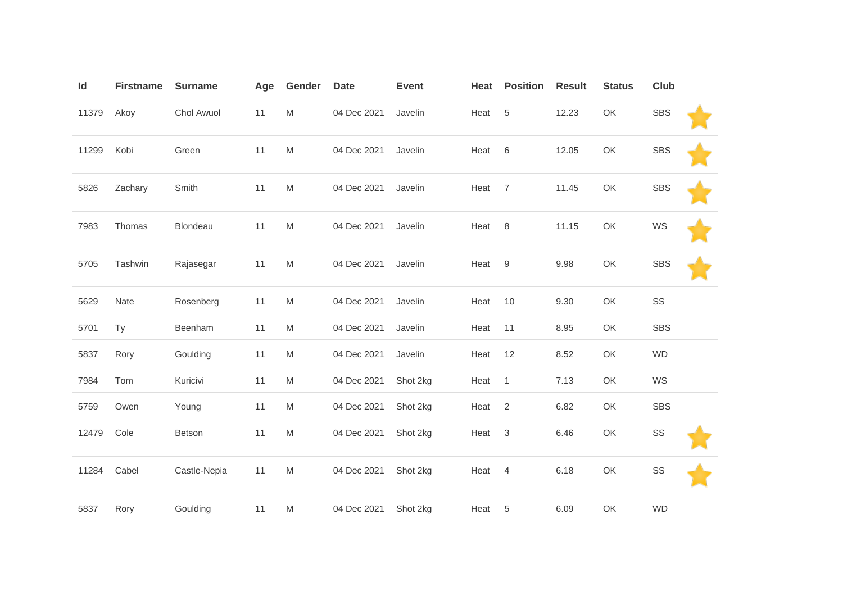| Id    | <b>Firstname</b> | <b>Surname</b> | Age | Gender | <b>Date</b> | <b>Event</b> | Heat | <b>Position</b>           | <b>Result</b> | <b>Status</b> | <b>Club</b> |  |
|-------|------------------|----------------|-----|--------|-------------|--------------|------|---------------------------|---------------|---------------|-------------|--|
| 11379 | Akoy             | Chol Awuol     | 11  | M      | 04 Dec 2021 | Javelin      | Heat | $\,$ 5 $\,$               | 12.23         | OK            | <b>SBS</b>  |  |
| 11299 | Kobi             | Green          | 11  | M      | 04 Dec 2021 | Javelin      | Heat | 6                         | 12.05         | OK            | <b>SBS</b>  |  |
| 5826  | Zachary          | Smith          | 11  | M      | 04 Dec 2021 | Javelin      | Heat | $\overline{7}$            | 11.45         | OK            | <b>SBS</b>  |  |
| 7983  | Thomas           | Blondeau       | 11  | M      | 04 Dec 2021 | Javelin      | Heat | 8                         | 11.15         | OK            | WS          |  |
| 5705  | Tashwin          | Rajasegar      | 11  | M      | 04 Dec 2021 | Javelin      | Heat | 9                         | 9.98          | OK            | <b>SBS</b>  |  |
| 5629  | Nate             | Rosenberg      | 11  | M      | 04 Dec 2021 | Javelin      | Heat | 10                        | 9.30          | OK            | SS          |  |
| 5701  | Ty               | Beenham        | 11  | M      | 04 Dec 2021 | Javelin      | Heat | 11                        | 8.95          | OK            | <b>SBS</b>  |  |
| 5837  | Rory             | Goulding       | 11  | M      | 04 Dec 2021 | Javelin      | Heat | 12                        | 8.52          | OK            | <b>WD</b>   |  |
| 7984  | Tom              | Kuricivi       | 11  | M      | 04 Dec 2021 | Shot 2kg     | Heat | $\mathbf{1}$              | 7.13          | OK            | WS          |  |
| 5759  | Owen             | Young          | 11  | M      | 04 Dec 2021 | Shot 2kg     | Heat | 2                         | 6.82          | OK            | <b>SBS</b>  |  |
| 12479 | Cole             | Betson         | 11  | M      | 04 Dec 2021 | Shot 2kg     | Heat | $\ensuremath{\mathsf{3}}$ | 6.46          | OK            | SS          |  |
| 11284 | Cabel            | Castle-Nepia   | 11  | M      | 04 Dec 2021 | Shot 2kg     | Heat | 4                         | 6.18          | OK            | SS          |  |
| 5837  | Rory             | Goulding       | 11  | M      | 04 Dec 2021 | Shot 2kg     | Heat | 5                         | 6.09          | OK            | <b>WD</b>   |  |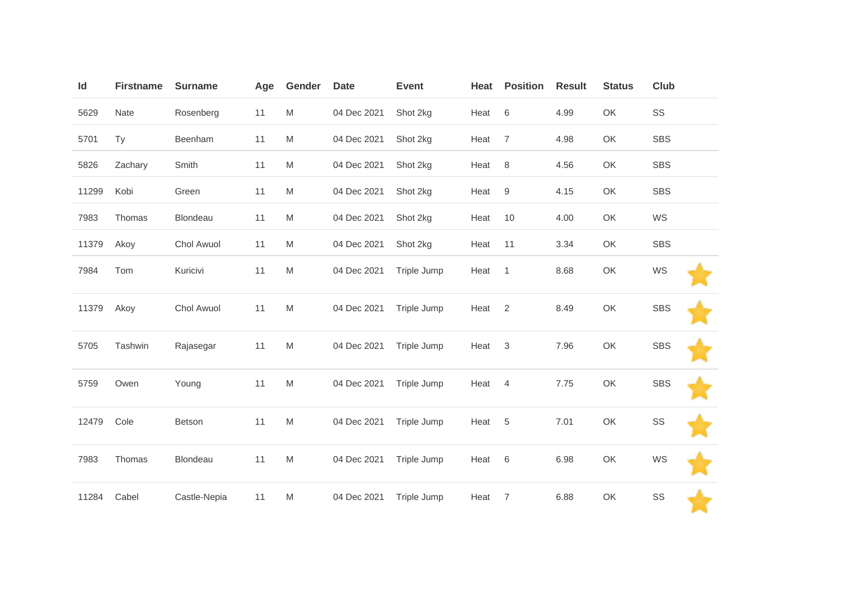| Id    | <b>Firstname</b> | <b>Surname</b> | Age | Gender | <b>Date</b> | <b>Event</b> | Heat | <b>Position</b>  | <b>Result</b> | <b>Status</b> | Club       |
|-------|------------------|----------------|-----|--------|-------------|--------------|------|------------------|---------------|---------------|------------|
| 5629  | Nate             | Rosenberg      | 11  | M      | 04 Dec 2021 | Shot 2kg     | Heat | 6                | 4.99          | OK            | SS         |
| 5701  | <b>Ty</b>        | Beenham        | 11  | M      | 04 Dec 2021 | Shot 2kg     | Heat | $\overline{7}$   | 4.98          | OK            | <b>SBS</b> |
| 5826  | Zachary          | Smith          | 11  | M      | 04 Dec 2021 | Shot 2kg     | Heat | 8                | 4.56          | OK            | <b>SBS</b> |
| 11299 | Kobi             | Green          | 11  | M      | 04 Dec 2021 | Shot 2kg     | Heat | $\boldsymbol{9}$ | 4.15          | OK            | <b>SBS</b> |
| 7983  | Thomas           | Blondeau       | 11  | M      | 04 Dec 2021 | Shot 2kg     | Heat | 10               | 4.00          | OK            | WS         |
| 11379 | Akoy             | Chol Awuol     | 11  | M      | 04 Dec 2021 | Shot 2kg     | Heat | 11               | 3.34          | OK            | <b>SBS</b> |
| 7984  | Tom              | Kuricivi       | 11  | M      | 04 Dec 2021 | Triple Jump  | Heat | $\mathbf{1}$     | 8.68          | OK            | WS         |
| 11379 | Akoy             | Chol Awuol     | 11  | M      | 04 Dec 2021 | Triple Jump  | Heat | 2                | 8.49          | OK            | <b>SBS</b> |
| 5705  | Tashwin          | Rajasegar      | 11  | M      | 04 Dec 2021 | Triple Jump  | Heat | $\sqrt{3}$       | 7.96          | OK            | <b>SBS</b> |
| 5759  | Owen             | Young          | 11  | M      | 04 Dec 2021 | Triple Jump  | Heat | $\overline{4}$   | 7.75          | OK            | <b>SBS</b> |
| 12479 | Cole             | Betson         | 11  | M      | 04 Dec 2021 | Triple Jump  | Heat | $\sqrt{5}$       | 7.01          | OK            | SS         |
| 7983  | Thomas           | Blondeau       | 11  | M      | 04 Dec 2021 | Triple Jump  | Heat | 6                | 6.98          | OK            | WS         |
| 11284 | Cabel            | Castle-Nepia   | 11  | M      | 04 Dec 2021 | Triple Jump  | Heat | 7                | 6.88          | OK            | SS         |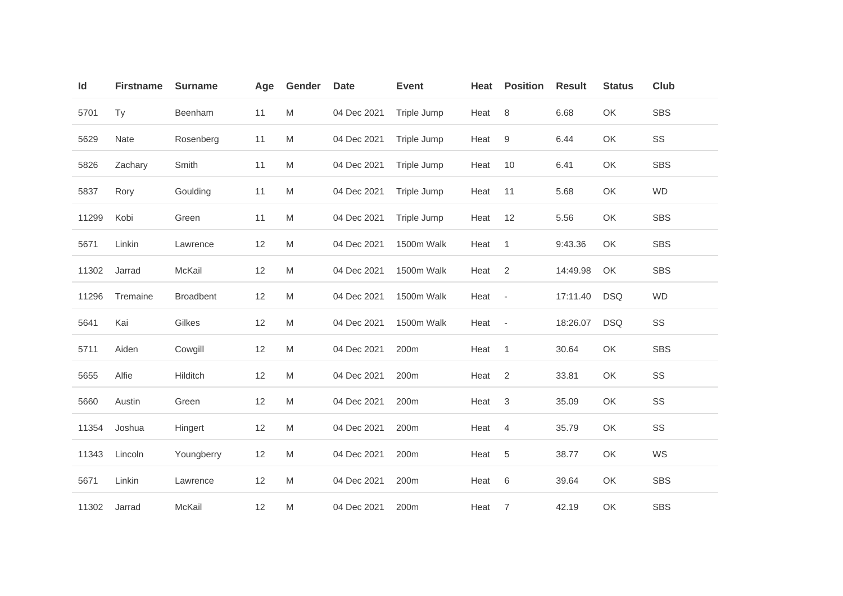| Id    | <b>Firstname</b> | <b>Surname</b>   | Age | Gender                                                                                                     | <b>Date</b> | <b>Event</b> | Heat | <b>Position</b>          | <b>Result</b> | <b>Status</b> | <b>Club</b> |
|-------|------------------|------------------|-----|------------------------------------------------------------------------------------------------------------|-------------|--------------|------|--------------------------|---------------|---------------|-------------|
| 5701  | <b>Ty</b>        | Beenham          | 11  | M                                                                                                          | 04 Dec 2021 | Triple Jump  | Heat | 8                        | 6.68          | OK            | <b>SBS</b>  |
| 5629  | Nate             | Rosenberg        | 11  | M                                                                                                          | 04 Dec 2021 | Triple Jump  | Heat | 9                        | 6.44          | OK            | SS          |
| 5826  | Zachary          | Smith            | 11  | M                                                                                                          | 04 Dec 2021 | Triple Jump  | Heat | 10                       | 6.41          | OK            | <b>SBS</b>  |
| 5837  | Rory             | Goulding         | 11  | M                                                                                                          | 04 Dec 2021 | Triple Jump  | Heat | 11                       | 5.68          | OK            | <b>WD</b>   |
| 11299 | Kobi             | Green            | 11  | M                                                                                                          | 04 Dec 2021 | Triple Jump  | Heat | 12                       | 5.56          | OK            | <b>SBS</b>  |
| 5671  | Linkin           | Lawrence         | 12  | M                                                                                                          | 04 Dec 2021 | 1500m Walk   | Heat | 1                        | 9:43.36       | OK            | <b>SBS</b>  |
| 11302 | Jarrad           | McKail           | 12  | $\mathsf{M}% _{T}=\mathsf{M}_{T}\!\left( a,b\right) ,\ \mathsf{M}_{T}=\mathsf{M}_{T}\!\left( a,b\right) ,$ | 04 Dec 2021 | 1500m Walk   | Heat | $\overline{2}$           | 14:49.98      | OK            | <b>SBS</b>  |
| 11296 | Tremaine         | <b>Broadbent</b> | 12  | M                                                                                                          | 04 Dec 2021 | 1500m Walk   | Heat | $\overline{\phantom{a}}$ | 17:11.40      | <b>DSQ</b>    | <b>WD</b>   |
| 5641  | Kai              | Gilkes           | 12  | M                                                                                                          | 04 Dec 2021 | 1500m Walk   | Heat | $\overline{\phantom{a}}$ | 18:26.07      | <b>DSQ</b>    | SS          |
| 5711  | Aiden            | Cowgill          | 12  | M                                                                                                          | 04 Dec 2021 | 200m         | Heat | 1                        | 30.64         | OK            | <b>SBS</b>  |
| 5655  | Alfie            | Hilditch         | 12  | M                                                                                                          | 04 Dec 2021 | 200m         | Heat | 2                        | 33.81         | OK            | SS          |
| 5660  | Austin           | Green            | 12  | M                                                                                                          | 04 Dec 2021 | 200m         | Heat | 3                        | 35.09         | OK            | SS          |
| 11354 | Joshua           | Hingert          | 12  | M                                                                                                          | 04 Dec 2021 | 200m         | Heat | 4                        | 35.79         | OK            | SS          |
| 11343 | Lincoln          | Youngberry       | 12  | M                                                                                                          | 04 Dec 2021 | 200m         | Heat | 5                        | 38.77         | OK            | WS          |
| 5671  | Linkin           | Lawrence         | 12  | M                                                                                                          | 04 Dec 2021 | 200m         | Heat | 6                        | 39.64         | OK            | <b>SBS</b>  |
| 11302 | Jarrad           | McKail           | 12  | M                                                                                                          | 04 Dec 2021 | 200m         | Heat | $\overline{7}$           | 42.19         | OK            | <b>SBS</b>  |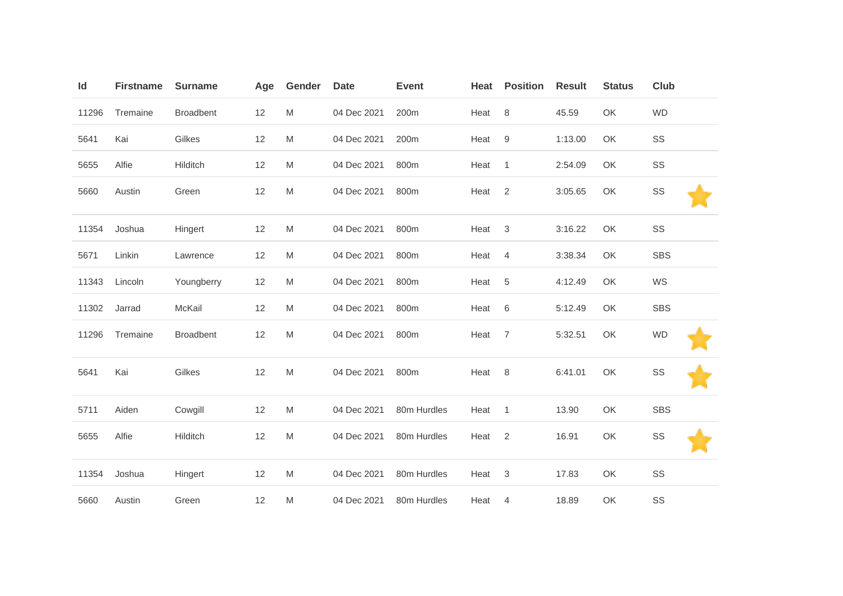| Id    | <b>Firstname</b> | <b>Surname</b>   | Age | Gender | <b>Date</b> | <b>Event</b> | Heat | <b>Position</b> | <b>Result</b> | <b>Status</b> | <b>Club</b> |
|-------|------------------|------------------|-----|--------|-------------|--------------|------|-----------------|---------------|---------------|-------------|
| 11296 | Tremaine         | <b>Broadbent</b> | 12  | M      | 04 Dec 2021 | 200m         | Heat | $\,8\,$         | 45.59         | OK            | <b>WD</b>   |
| 5641  | Kai              | Gilkes           | 12  | M      | 04 Dec 2021 | 200m         | Heat | $9\,$           | 1:13.00       | OK            | SS          |
| 5655  | Alfie            | Hilditch         | 12  | M      | 04 Dec 2021 | 800m         | Heat | $\mathbf{1}$    | 2:54.09       | OK            | SS          |
| 5660  | Austin           | Green            | 12  | M      | 04 Dec 2021 | 800m         | Heat | $\overline{2}$  | 3:05.65       | OK            | SS          |
| 11354 | Joshua           | Hingert          | 12  | M      | 04 Dec 2021 | 800m         | Heat | 3               | 3:16.22       | OK            | SS          |
| 5671  | Linkin           | Lawrence         | 12  | M      | 04 Dec 2021 | 800m         | Heat | $\overline{4}$  | 3:38.34       | OK            | <b>SBS</b>  |
| 11343 | Lincoln          | Youngberry       | 12  | M      | 04 Dec 2021 | 800m         | Heat | 5               | 4:12.49       | OK            | WS          |
| 11302 | Jarrad           | McKail           | 12  | M      | 04 Dec 2021 | 800m         | Heat | 6               | 5:12.49       | OK            | <b>SBS</b>  |
| 11296 | Tremaine         | <b>Broadbent</b> | 12  | M      | 04 Dec 2021 | 800m         | Heat | $\overline{7}$  | 5:32.51       | OK            | <b>WD</b>   |
| 5641  | Kai              | Gilkes           | 12  | M      | 04 Dec 2021 | 800m         | Heat | 8               | 6:41.01       | OK            | SS          |
| 5711  | Aiden            | Cowgill          | 12  | M      | 04 Dec 2021 | 80m Hurdles  | Heat | $\mathbf{1}$    | 13.90         | OK            | <b>SBS</b>  |
| 5655  | Alfie            | Hilditch         | 12  | M      | 04 Dec 2021 | 80m Hurdles  | Heat | $\sqrt{2}$      | 16.91         | OK            | SS          |
| 11354 | Joshua           | Hingert          | 12  | M      | 04 Dec 2021 | 80m Hurdles  | Heat | $\sqrt{3}$      | 17.83         | OK            | SS          |
| 5660  | Austin           | Green            | 12  | M      | 04 Dec 2021 | 80m Hurdles  | Heat | 4               | 18.89         | OK            | SS          |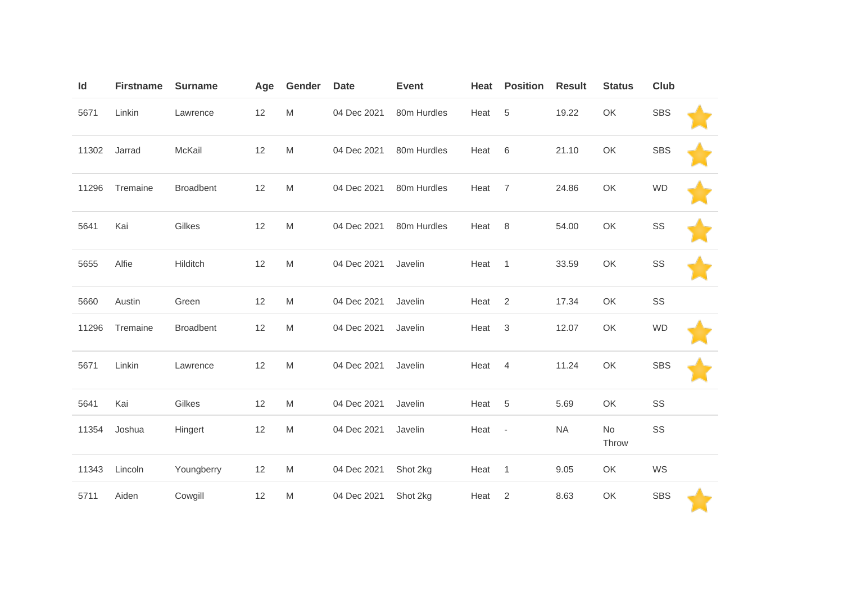| Id    | <b>Firstname</b> | <b>Surname</b>   | Age | Gender                                                                                                     | <b>Date</b> | <b>Event</b> | Heat | <b>Position</b>           | <b>Result</b> | <b>Status</b> | <b>Club</b> |  |
|-------|------------------|------------------|-----|------------------------------------------------------------------------------------------------------------|-------------|--------------|------|---------------------------|---------------|---------------|-------------|--|
| 5671  | Linkin           | Lawrence         | 12  | M                                                                                                          | 04 Dec 2021 | 80m Hurdles  | Heat | $\,$ 5 $\,$               | 19.22         | OK            | <b>SBS</b>  |  |
| 11302 | Jarrad           | McKail           | 12  | $\mathsf{M}% _{T}=\mathsf{M}_{T}\!\left( a,b\right) ,\ \mathsf{M}_{T}=\mathsf{M}_{T}\!\left( a,b\right) ,$ | 04 Dec 2021 | 80m Hurdles  | Heat | 6                         | 21.10         | OK            | <b>SBS</b>  |  |
| 11296 | Tremaine         | <b>Broadbent</b> | 12  | M                                                                                                          | 04 Dec 2021 | 80m Hurdles  | Heat | $\overline{7}$            | 24.86         | OK            | <b>WD</b>   |  |
| 5641  | Kai              | Gilkes           | 12  | M                                                                                                          | 04 Dec 2021 | 80m Hurdles  | Heat | 8                         | 54.00         | OK            | SS          |  |
| 5655  | Alfie            | Hilditch         | 12  | M                                                                                                          | 04 Dec 2021 | Javelin      | Heat | $\overline{1}$            | 33.59         | OK            | SS          |  |
| 5660  | Austin           | Green            | 12  | M                                                                                                          | 04 Dec 2021 | Javelin      | Heat | 2                         | 17.34         | OK            | SS          |  |
| 11296 | Tremaine         | Broadbent        | 12  | M                                                                                                          | 04 Dec 2021 | Javelin      | Heat | $\ensuremath{\mathsf{3}}$ | 12.07         | OK            | <b>WD</b>   |  |
| 5671  | Linkin           | Lawrence         | 12  | M                                                                                                          | 04 Dec 2021 | Javelin      | Heat | $\overline{4}$            | 11.24         | OK            | <b>SBS</b>  |  |
| 5641  | Kai              | Gilkes           | 12  | M                                                                                                          | 04 Dec 2021 | Javelin      | Heat | 5                         | 5.69          | OK            | SS          |  |
| 11354 | Joshua           | Hingert          | 12  | $\mathsf{M}% _{T}=\mathsf{M}_{T}\!\left( a,b\right) ,\ \mathsf{M}_{T}=\mathsf{M}_{T}\!\left( a,b\right) ,$ | 04 Dec 2021 | Javelin      | Heat | $\overline{\phantom{a}}$  | <b>NA</b>     | No<br>Throw   | SS          |  |
| 11343 | Lincoln          | Youngberry       | 12  | M                                                                                                          | 04 Dec 2021 | Shot 2kg     | Heat | $\mathbf{1}$              | 9.05          | OK            | WS          |  |
| 5711  | Aiden            | Cowgill          | 12  | M                                                                                                          | 04 Dec 2021 | Shot 2kg     | Heat | $\overline{2}$            | 8.63          | OK            | <b>SBS</b>  |  |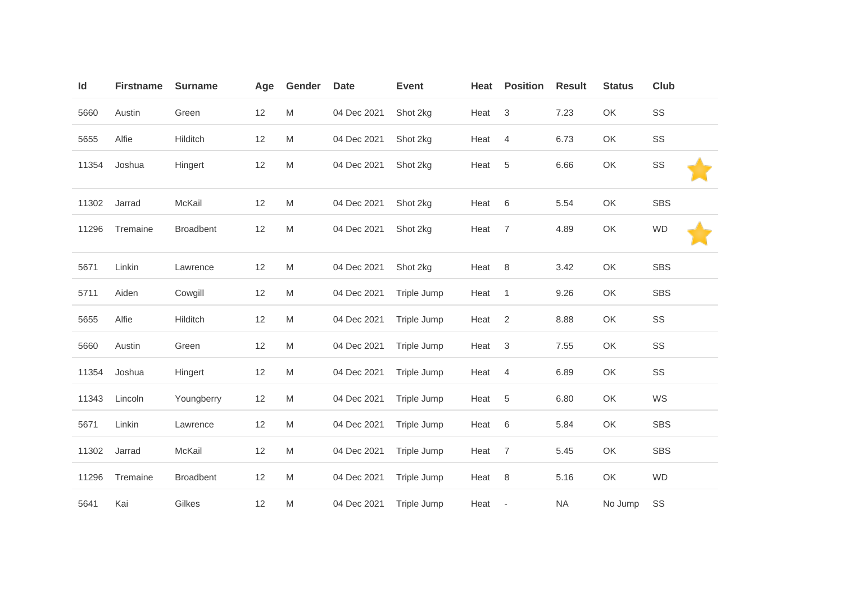| Id    | <b>Firstname</b> | <b>Surname</b>   | Age | Gender | <b>Date</b> | <b>Event</b> | Heat | <b>Position</b>           | <b>Result</b> | <b>Status</b> | <b>Club</b> |
|-------|------------------|------------------|-----|--------|-------------|--------------|------|---------------------------|---------------|---------------|-------------|
| 5660  | Austin           | Green            | 12  | M      | 04 Dec 2021 | Shot 2kg     | Heat | $\ensuremath{\mathsf{3}}$ | 7.23          | OK            | SS          |
| 5655  | Alfie            | Hilditch         | 12  | M      | 04 Dec 2021 | Shot 2kg     | Heat | $\overline{4}$            | 6.73          | OK            | SS          |
| 11354 | Joshua           | Hingert          | 12  | M      | 04 Dec 2021 | Shot 2kg     | Heat | $\,$ 5 $\,$               | 6.66          | OK            | SS          |
| 11302 | Jarrad           | McKail           | 12  | M      | 04 Dec 2021 | Shot 2kg     | Heat | $6\,$                     | 5.54          | OK            | <b>SBS</b>  |
| 11296 | Tremaine         | <b>Broadbent</b> | 12  | M      | 04 Dec 2021 | Shot 2kg     | Heat | $\overline{7}$            | 4.89          | OK            | <b>WD</b>   |
| 5671  | Linkin           | Lawrence         | 12  | M      | 04 Dec 2021 | Shot 2kg     | Heat | $\,8\,$                   | 3.42          | OK            | <b>SBS</b>  |
| 5711  | Aiden            | Cowgill          | 12  | M      | 04 Dec 2021 | Triple Jump  | Heat | $\mathbf{1}$              | 9.26          | OK            | <b>SBS</b>  |
| 5655  | Alfie            | Hilditch         | 12  | M      | 04 Dec 2021 | Triple Jump  | Heat | 2                         | 8.88          | OK            | SS          |
| 5660  | Austin           | Green            | 12  | M      | 04 Dec 2021 | Triple Jump  | Heat | 3                         | 7.55          | OK            | SS          |
| 11354 | Joshua           | Hingert          | 12  | M      | 04 Dec 2021 | Triple Jump  | Heat | $\overline{4}$            | 6.89          | OK            | SS          |
| 11343 | Lincoln          | Youngberry       | 12  | M      | 04 Dec 2021 | Triple Jump  | Heat | 5                         | 6.80          | OK            | WS          |
| 5671  | Linkin           | Lawrence         | 12  | M      | 04 Dec 2021 | Triple Jump  | Heat | 6                         | 5.84          | OK            | <b>SBS</b>  |
| 11302 | Jarrad           | McKail           | 12  | M      | 04 Dec 2021 | Triple Jump  | Heat | $\overline{7}$            | 5.45          | OK            | <b>SBS</b>  |
| 11296 | Tremaine         | <b>Broadbent</b> | 12  | M      | 04 Dec 2021 | Triple Jump  | Heat | 8                         | 5.16          | OK            | <b>WD</b>   |
| 5641  | Kai              | Gilkes           | 12  | M      | 04 Dec 2021 | Triple Jump  | Heat | $\overline{\phantom{a}}$  | <b>NA</b>     | No Jump       | SS          |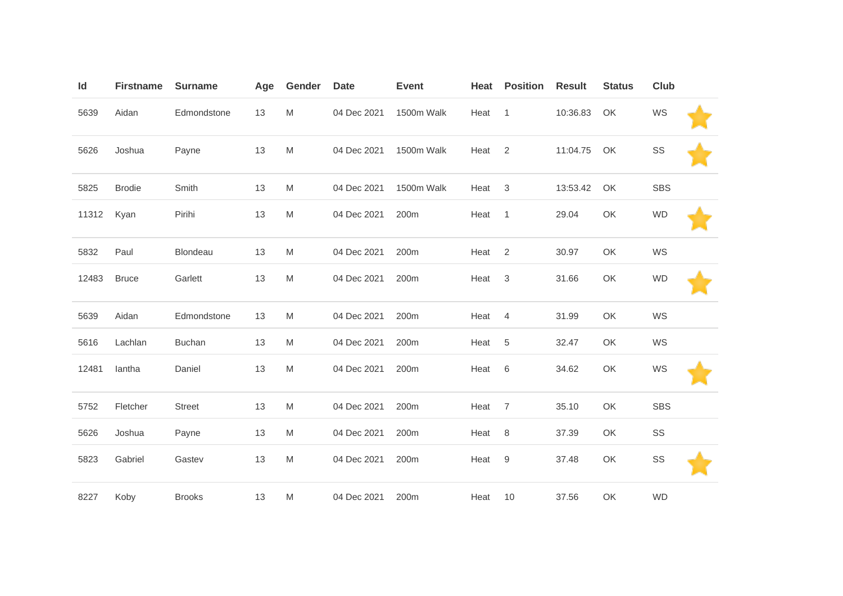| Id    | <b>Firstname</b> | <b>Surname</b> | Age | Gender | <b>Date</b> | <b>Event</b>     | Heat | <b>Position</b> | <b>Result</b> | <b>Status</b> | <b>Club</b> |  |
|-------|------------------|----------------|-----|--------|-------------|------------------|------|-----------------|---------------|---------------|-------------|--|
| 5639  | Aidan            | Edmondstone    | 13  | M      | 04 Dec 2021 | 1500m Walk       | Heat | $\mathbf{1}$    | 10:36.83      | OK            | WS          |  |
| 5626  | Joshua           | Payne          | 13  | M      | 04 Dec 2021 | 1500m Walk       | Heat | 2               | 11:04.75      | OK            | SS          |  |
| 5825  | <b>Brodie</b>    | Smith          | 13  | M      | 04 Dec 2021 | 1500m Walk       | Heat | $\mathbf{3}$    | 13:53.42      | OK            | <b>SBS</b>  |  |
| 11312 | Kyan             | Pirihi         | 13  | M      | 04 Dec 2021 | 200m             | Heat | $\mathbf{1}$    | 29.04         | OK            | <b>WD</b>   |  |
| 5832  | Paul             | Blondeau       | 13  | M      | 04 Dec 2021 | 200m             | Heat | 2               | 30.97         | OK            | WS          |  |
| 12483 | <b>Bruce</b>     | Garlett        | 13  | M      | 04 Dec 2021 | 200m             | Heat | 3               | 31.66         | OK            | <b>WD</b>   |  |
| 5639  | Aidan            | Edmondstone    | 13  | M      | 04 Dec 2021 | 200m             | Heat | $\overline{4}$  | 31.99         | OK            | WS          |  |
| 5616  | Lachlan          | <b>Buchan</b>  | 13  | M      | 04 Dec 2021 | 200m             | Heat | $\sqrt{5}$      | 32.47         | OK            | WS          |  |
| 12481 | lantha           | Daniel         | 13  | M      | 04 Dec 2021 | 200m             | Heat | 6               | 34.62         | OK            | WS          |  |
| 5752  | Fletcher         | <b>Street</b>  | 13  | M      | 04 Dec 2021 | 200m             | Heat | $\overline{7}$  | 35.10         | OK            | <b>SBS</b>  |  |
| 5626  | Joshua           | Payne          | 13  | M      | 04 Dec 2021 | 200m             | Heat | 8               | 37.39         | OK            | SS          |  |
| 5823  | Gabriel          | Gastev         | 13  | M      | 04 Dec 2021 | 200 <sub>m</sub> | Heat | 9               | 37.48         | OK            | SS          |  |
| 8227  | Koby             | <b>Brooks</b>  | 13  | M      | 04 Dec 2021 | 200m             | Heat | 10              | 37.56         | OK            | <b>WD</b>   |  |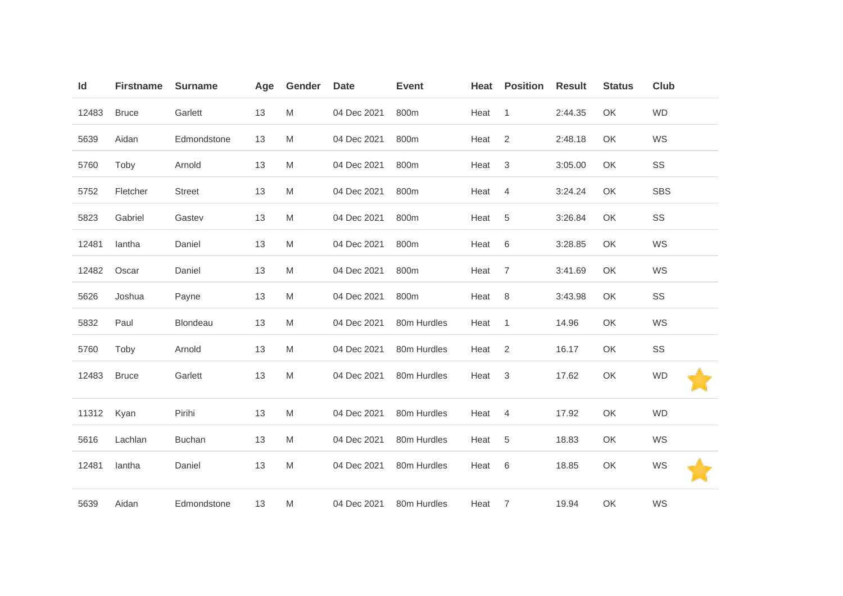| Id    | <b>Firstname</b> | <b>Surname</b> | Age | Gender | <b>Date</b> | <b>Event</b> | Heat | <b>Position</b> | <b>Result</b> | <b>Status</b> | <b>Club</b> |
|-------|------------------|----------------|-----|--------|-------------|--------------|------|-----------------|---------------|---------------|-------------|
| 12483 | <b>Bruce</b>     | Garlett        | 13  | M      | 04 Dec 2021 | 800m         | Heat | $\mathbf{1}$    | 2:44.35       | OK            | <b>WD</b>   |
| 5639  | Aidan            | Edmondstone    | 13  | M      | 04 Dec 2021 | 800m         | Heat | 2               | 2:48.18       | OK            | WS          |
| 5760  | Toby             | Arnold         | 13  | M      | 04 Dec 2021 | 800m         | Heat | $\mathsf 3$     | 3:05.00       | OK            | SS          |
| 5752  | Fletcher         | <b>Street</b>  | 13  | M      | 04 Dec 2021 | 800m         | Heat | 4               | 3:24.24       | OK            | <b>SBS</b>  |
| 5823  | Gabriel          | Gastev         | 13  | M      | 04 Dec 2021 | 800m         | Heat | 5               | 3:26.84       | OK            | SS          |
| 12481 | lantha           | Daniel         | 13  | M      | 04 Dec 2021 | 800m         | Heat | 6               | 3:28.85       | OK            | WS          |
| 12482 | Oscar            | Daniel         | 13  | M      | 04 Dec 2021 | 800m         | Heat | $\overline{7}$  | 3:41.69       | OK            | WS          |
| 5626  | Joshua           | Payne          | 13  | M      | 04 Dec 2021 | 800m         | Heat | 8               | 3:43.98       | OK            | SS          |
| 5832  | Paul             | Blondeau       | 13  | M      | 04 Dec 2021 | 80m Hurdles  | Heat | $\mathbf{1}$    | 14.96         | OK            | WS          |
| 5760  | Toby             | Arnold         | 13  | M      | 04 Dec 2021 | 80m Hurdles  | Heat | 2               | 16.17         | OK            | SS          |
| 12483 | <b>Bruce</b>     | Garlett        | 13  | M      | 04 Dec 2021 | 80m Hurdles  | Heat | 3               | 17.62         | OK            | <b>WD</b>   |
| 11312 | Kyan             | Pirihi         | 13  | M      | 04 Dec 2021 | 80m Hurdles  | Heat | 4               | 17.92         | OK            | <b>WD</b>   |
| 5616  | Lachlan          | <b>Buchan</b>  | 13  | M      | 04 Dec 2021 | 80m Hurdles  | Heat | 5               | 18.83         | OK            | WS          |
| 12481 | lantha           | Daniel         | 13  | M      | 04 Dec 2021 | 80m Hurdles  | Heat | 6               | 18.85         | OK            | WS          |
| 5639  | Aidan            | Edmondstone    | 13  | M      | 04 Dec 2021 | 80m Hurdles  | Heat | $\overline{7}$  | 19.94         | OK            | WS          |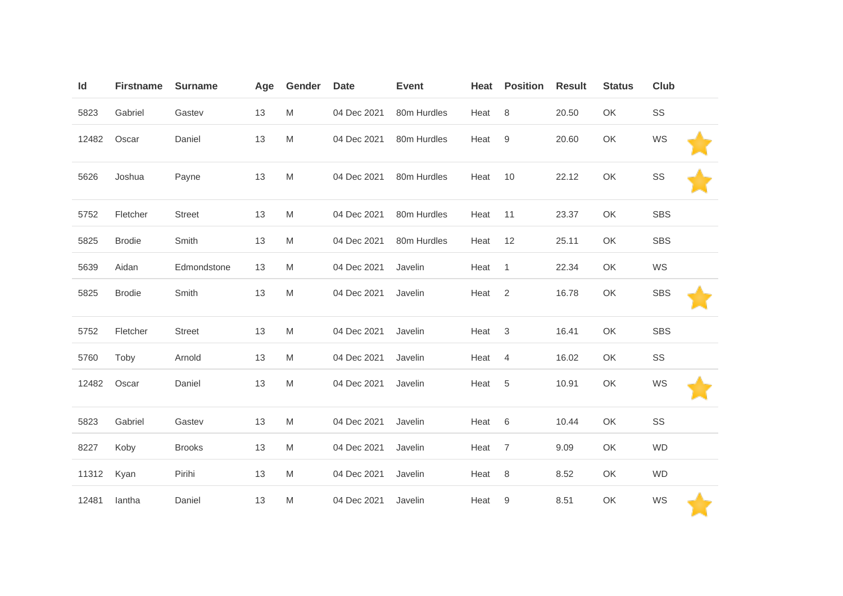| Id    | <b>Firstname</b> | <b>Surname</b> | Age | Gender    | <b>Date</b> | <b>Event</b> | Heat | <b>Position</b> | <b>Result</b> | <b>Status</b> | Club       |  |
|-------|------------------|----------------|-----|-----------|-------------|--------------|------|-----------------|---------------|---------------|------------|--|
| 5823  | Gabriel          | Gastev         | 13  | M         | 04 Dec 2021 | 80m Hurdles  | Heat | 8               | 20.50         | OK            | SS         |  |
| 12482 | Oscar            | Daniel         | 13  | M         | 04 Dec 2021 | 80m Hurdles  | Heat | 9               | 20.60         | OK            | WS         |  |
| 5626  | Joshua           | Payne          | 13  | ${\sf M}$ | 04 Dec 2021 | 80m Hurdles  | Heat | 10              | 22.12         | OK            | SS         |  |
| 5752  | Fletcher         | <b>Street</b>  | 13  | M         | 04 Dec 2021 | 80m Hurdles  | Heat | 11              | 23.37         | OK            | <b>SBS</b> |  |
| 5825  | <b>Brodie</b>    | Smith          | 13  | M         | 04 Dec 2021 | 80m Hurdles  | Heat | 12              | 25.11         | OK            | <b>SBS</b> |  |
| 5639  | Aidan            | Edmondstone    | 13  | M         | 04 Dec 2021 | Javelin      | Heat | $\mathbf{1}$    | 22.34         | OK            | WS         |  |
| 5825  | <b>Brodie</b>    | Smith          | 13  | ${\sf M}$ | 04 Dec 2021 | Javelin      | Heat | 2               | 16.78         | OK            | <b>SBS</b> |  |
| 5752  | Fletcher         | <b>Street</b>  | 13  | M         | 04 Dec 2021 | Javelin      | Heat | 3               | 16.41         | OK            | <b>SBS</b> |  |
| 5760  | Toby             | Arnold         | 13  | M         | 04 Dec 2021 | Javelin      | Heat | $\overline{4}$  | 16.02         | OK            | SS         |  |
| 12482 | Oscar            | Daniel         | 13  | M         | 04 Dec 2021 | Javelin      | Heat | 5               | 10.91         | OK            | WS         |  |
| 5823  | Gabriel          | Gastev         | 13  | M         | 04 Dec 2021 | Javelin      | Heat | $\,6\,$         | 10.44         | OK            | SS         |  |
| 8227  | Koby             | <b>Brooks</b>  | 13  | M         | 04 Dec 2021 | Javelin      | Heat | $\overline{7}$  | 9.09          | OK            | <b>WD</b>  |  |
| 11312 | Kyan             | Pirihi         | 13  | M         | 04 Dec 2021 | Javelin      | Heat | 8               | 8.52          | OK            | <b>WD</b>  |  |
| 12481 | lantha           | Daniel         | 13  | M         | 04 Dec 2021 | Javelin      | Heat | 9               | 8.51          | OK            | WS         |  |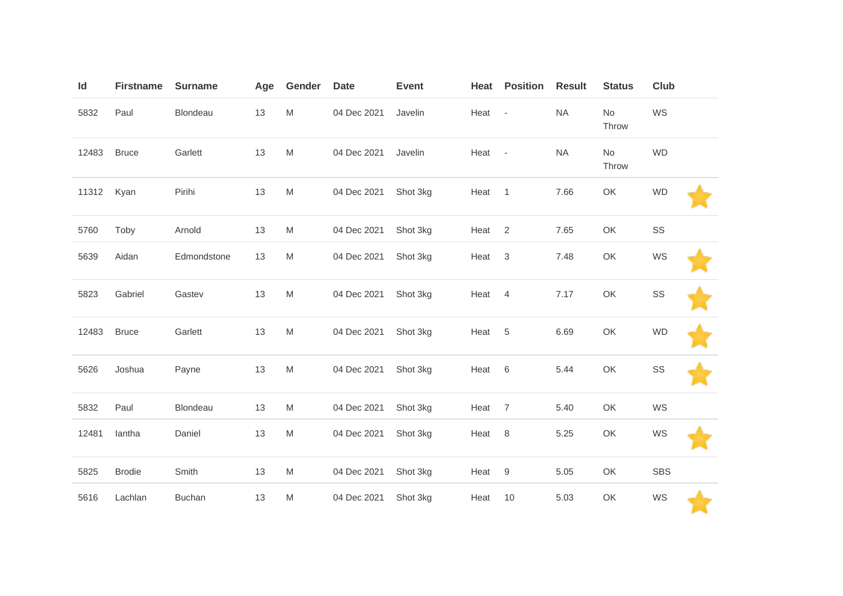| Id    | <b>Firstname</b> | <b>Surname</b> | Age | Gender | <b>Date</b> | <b>Event</b> | Heat   | <b>Position</b>           | <b>Result</b> | <b>Status</b> | <b>Club</b> |  |
|-------|------------------|----------------|-----|--------|-------------|--------------|--------|---------------------------|---------------|---------------|-------------|--|
| 5832  | Paul             | Blondeau       | 13  | M      | 04 Dec 2021 | Javelin      | Heat - |                           | <b>NA</b>     | No<br>Throw   | WS          |  |
| 12483 | <b>Bruce</b>     | Garlett        | 13  | M      | 04 Dec 2021 | Javelin      | Heat   | $\overline{\phantom{a}}$  | <b>NA</b>     | No<br>Throw   | <b>WD</b>   |  |
| 11312 | Kyan             | Pirihi         | 13  | M      | 04 Dec 2021 | Shot 3kg     | Heat   | $\mathbf{1}$              | 7.66          | OK            | <b>WD</b>   |  |
| 5760  | Toby             | Arnold         | 13  | M      | 04 Dec 2021 | Shot 3kg     | Heat   | $\overline{2}$            | 7.65          | OK            | SS          |  |
| 5639  | Aidan            | Edmondstone    | 13  | M      | 04 Dec 2021 | Shot 3kg     | Heat   | $\ensuremath{\mathsf{3}}$ | 7.48          | OK            | WS          |  |
| 5823  | Gabriel          | Gastev         | 13  | M      | 04 Dec 2021 | Shot 3kg     | Heat   | $\overline{4}$            | 7.17          | OK            | SS          |  |
| 12483 | <b>Bruce</b>     | Garlett        | 13  | M      | 04 Dec 2021 | Shot 3kg     | Heat   | $\sqrt{5}$                | 6.69          | OK            | <b>WD</b>   |  |
| 5626  | Joshua           | Payne          | 13  | M      | 04 Dec 2021 | Shot 3kg     | Heat   | $6\,$                     | 5.44          | OK            | SS          |  |
| 5832  | Paul             | Blondeau       | 13  | M      | 04 Dec 2021 | Shot 3kg     | Heat   | $\overline{7}$            | 5.40          | OK            | WS          |  |
| 12481 | lantha           | Daniel         | 13  | M      | 04 Dec 2021 | Shot 3kg     | Heat   | $\,8\,$                   | 5.25          | OK            | WS          |  |
| 5825  | <b>Brodie</b>    | Smith          | 13  | M      | 04 Dec 2021 | Shot 3kg     | Heat   | $\boldsymbol{9}$          | 5.05          | OK            | <b>SBS</b>  |  |
| 5616  | Lachlan          | <b>Buchan</b>  | 13  | M      | 04 Dec 2021 | Shot 3kg     | Heat   | 10                        | 5.03          | OK            | WS          |  |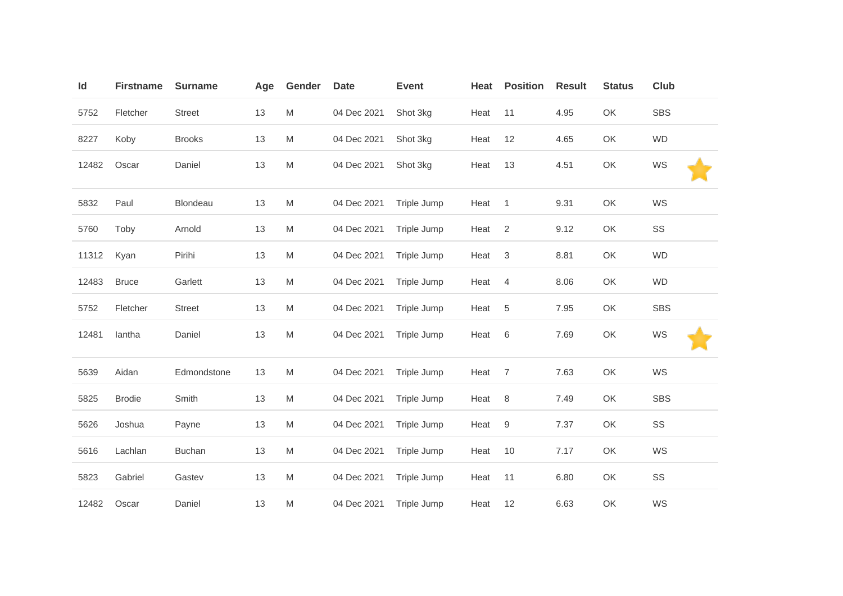| Id    | <b>Firstname</b> | <b>Surname</b> | Age | Gender | <b>Date</b> | <b>Event</b> | Heat | <b>Position</b> | <b>Result</b> | <b>Status</b> | Club       |
|-------|------------------|----------------|-----|--------|-------------|--------------|------|-----------------|---------------|---------------|------------|
| 5752  | Fletcher         | <b>Street</b>  | 13  | M      | 04 Dec 2021 | Shot 3kg     | Heat | 11              | 4.95          | OK            | <b>SBS</b> |
| 8227  | Koby             | <b>Brooks</b>  | 13  | M      | 04 Dec 2021 | Shot 3kg     | Heat | 12              | 4.65          | OK            | <b>WD</b>  |
| 12482 | Oscar            | Daniel         | 13  | M      | 04 Dec 2021 | Shot 3kg     | Heat | 13              | 4.51          | OK            | WS         |
| 5832  | Paul             | Blondeau       | 13  | M      | 04 Dec 2021 | Triple Jump  | Heat | $\mathbf{1}$    | 9.31          | OK            | WS         |
| 5760  | Toby             | Arnold         | 13  | M      | 04 Dec 2021 | Triple Jump  | Heat | 2               | 9.12          | OK            | SS         |
| 11312 | Kyan             | Pirihi         | 13  | M      | 04 Dec 2021 | Triple Jump  | Heat | $\mathbf{3}$    | 8.81          | OK            | <b>WD</b>  |
| 12483 | <b>Bruce</b>     | Garlett        | 13  | M      | 04 Dec 2021 | Triple Jump  | Heat | 4               | 8.06          | OK            | <b>WD</b>  |
| 5752  | Fletcher         | <b>Street</b>  | 13  | M      | 04 Dec 2021 | Triple Jump  | Heat | 5               | 7.95          | OK            | <b>SBS</b> |
| 12481 | lantha           | Daniel         | 13  | M      | 04 Dec 2021 | Triple Jump  | Heat | $6\,$           | 7.69          | OK            | WS         |
| 5639  | Aidan            | Edmondstone    | 13  | M      | 04 Dec 2021 | Triple Jump  | Heat | $\overline{7}$  | 7.63          | OK            | WS         |
| 5825  | <b>Brodie</b>    | Smith          | 13  | M      | 04 Dec 2021 | Triple Jump  | Heat | $\,8\,$         | 7.49          | OK            | <b>SBS</b> |
| 5626  | Joshua           | Payne          | 13  | M      | 04 Dec 2021 | Triple Jump  | Heat | $9\,$           | 7.37          | OK            | SS         |
| 5616  | Lachlan          | <b>Buchan</b>  | 13  | M      | 04 Dec 2021 | Triple Jump  | Heat | 10              | 7.17          | OK            | WS         |
| 5823  | Gabriel          | Gastev         | 13  | M      | 04 Dec 2021 | Triple Jump  | Heat | 11              | 6.80          | OK            | SS         |
| 12482 | Oscar            | Daniel         | 13  | M      | 04 Dec 2021 | Triple Jump  | Heat | 12              | 6.63          | OK            | WS         |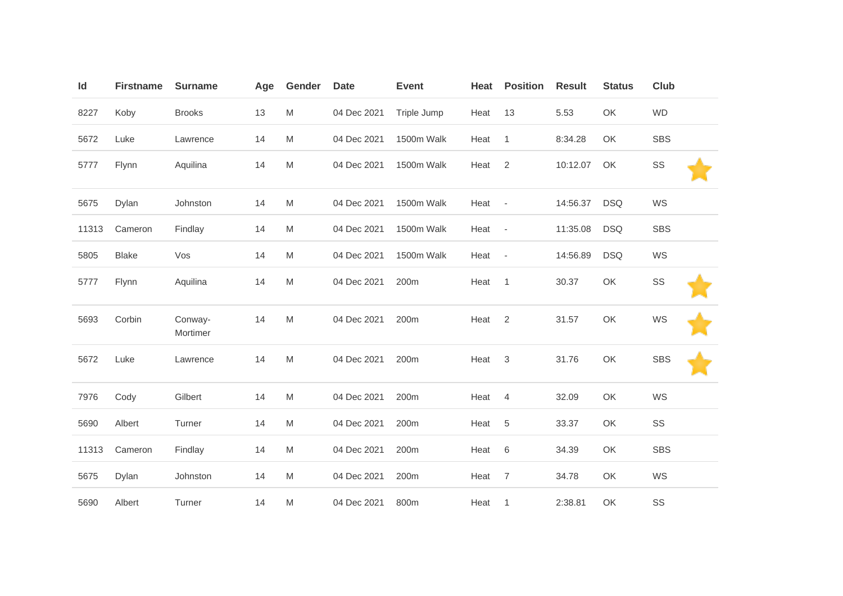| Id    | <b>Firstname</b> | <b>Surname</b>      | Age | Gender | <b>Date</b> | <b>Event</b> | Heat | <b>Position</b>          | <b>Result</b> | <b>Status</b> | <b>Club</b> |  |
|-------|------------------|---------------------|-----|--------|-------------|--------------|------|--------------------------|---------------|---------------|-------------|--|
| 8227  | Koby             | <b>Brooks</b>       | 13  | M      | 04 Dec 2021 | Triple Jump  | Heat | 13                       | 5.53          | OK            | <b>WD</b>   |  |
| 5672  | Luke             | Lawrence            | 14  | M      | 04 Dec 2021 | 1500m Walk   | Heat | $\mathbf{1}$             | 8:34.28       | OK            | <b>SBS</b>  |  |
| 5777  | Flynn            | Aquilina            | 14  | M      | 04 Dec 2021 | 1500m Walk   | Heat | 2                        | 10:12.07      | OK            | SS          |  |
| 5675  | Dylan            | Johnston            | 14  | M      | 04 Dec 2021 | 1500m Walk   | Heat | $\overline{\phantom{a}}$ | 14:56.37      | <b>DSQ</b>    | WS          |  |
| 11313 | Cameron          | Findlay             | 14  | M      | 04 Dec 2021 | 1500m Walk   | Heat | $\overline{\phantom{a}}$ | 11:35.08      | <b>DSQ</b>    | <b>SBS</b>  |  |
| 5805  | <b>Blake</b>     | Vos                 | 14  | M      | 04 Dec 2021 | 1500m Walk   | Heat | $\overline{\phantom{a}}$ | 14:56.89      | <b>DSQ</b>    | WS          |  |
| 5777  | Flynn            | Aquilina            | 14  | M      | 04 Dec 2021 | 200m         | Heat | $\mathbf{1}$             | 30.37         | OK            | SS          |  |
| 5693  | Corbin           | Conway-<br>Mortimer | 14  | M      | 04 Dec 2021 | 200m         | Heat | 2                        | 31.57         | OK            | WS          |  |
| 5672  | Luke             | Lawrence            | 14  | M      | 04 Dec 2021 | 200m         | Heat | 3                        | 31.76         | OK            | <b>SBS</b>  |  |
| 7976  | Cody             | Gilbert             | 14  | M      | 04 Dec 2021 | 200m         | Heat | 4                        | 32.09         | OK            | WS          |  |
| 5690  | Albert           | Turner              | 14  | M      | 04 Dec 2021 | 200m         | Heat | 5                        | 33.37         | OK            | SS          |  |
| 11313 | Cameron          | Findlay             | 14  | M      | 04 Dec 2021 | 200m         | Heat | $\,6\,$                  | 34.39         | OK            | <b>SBS</b>  |  |
| 5675  | Dylan            | Johnston            | 14  | M      | 04 Dec 2021 | 200m         | Heat | $\overline{7}$           | 34.78         | OK            | WS          |  |
| 5690  | Albert           | Turner              | 14  | M      | 04 Dec 2021 | 800m         | Heat | $\mathbf{1}$             | 2:38.81       | OK            | SS          |  |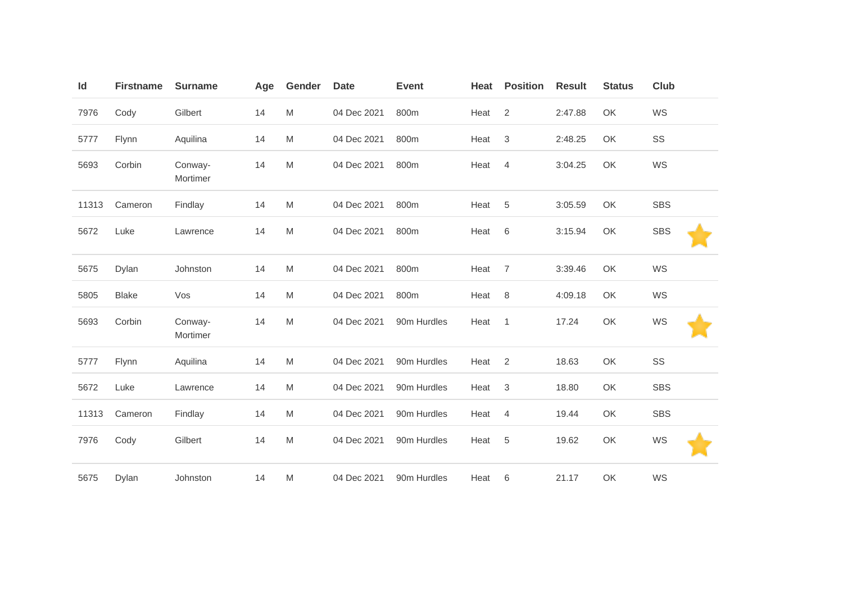| Id    | <b>Firstname</b> | <b>Surname</b>      | Age | Gender | <b>Date</b> | <b>Event</b> | Heat | <b>Position</b> | <b>Result</b> | <b>Status</b> | <b>Club</b> |  |
|-------|------------------|---------------------|-----|--------|-------------|--------------|------|-----------------|---------------|---------------|-------------|--|
| 7976  | Cody             | Gilbert             | 14  | M      | 04 Dec 2021 | 800m         | Heat | 2               | 2:47.88       | OK            | WS          |  |
| 5777  | Flynn            | Aquilina            | 14  | M      | 04 Dec 2021 | 800m         | Heat | $\mathfrak{B}$  | 2:48.25       | OK            | SS          |  |
| 5693  | Corbin           | Conway-<br>Mortimer | 14  | M      | 04 Dec 2021 | 800m         | Heat | $\overline{4}$  | 3:04.25       | OK            | WS          |  |
| 11313 | Cameron          | Findlay             | 14  | M      | 04 Dec 2021 | 800m         | Heat | 5               | 3:05.59       | OK            | <b>SBS</b>  |  |
| 5672  | Luke             | Lawrence            | 14  | M      | 04 Dec 2021 | 800m         | Heat | 6               | 3:15.94       | OK            | <b>SBS</b>  |  |
| 5675  | Dylan            | Johnston            | 14  | M      | 04 Dec 2021 | 800m         | Heat | $\overline{7}$  | 3:39.46       | OK            | WS          |  |
| 5805  | <b>Blake</b>     | Vos                 | 14  | M      | 04 Dec 2021 | 800m         | Heat | 8               | 4:09.18       | OK            | WS          |  |
| 5693  | Corbin           | Conway-<br>Mortimer | 14  | M      | 04 Dec 2021 | 90m Hurdles  | Heat | $\mathbf{1}$    | 17.24         | OK            | WS          |  |
| 5777  | Flynn            | Aquilina            | 14  | M      | 04 Dec 2021 | 90m Hurdles  | Heat | $\overline{2}$  | 18.63         | OK            | SS          |  |
| 5672  | Luke             | Lawrence            | 14  | M      | 04 Dec 2021 | 90m Hurdles  | Heat | $\mathfrak{B}$  | 18.80         | OK            | <b>SBS</b>  |  |
| 11313 | Cameron          | Findlay             | 14  | M      | 04 Dec 2021 | 90m Hurdles  | Heat | $\overline{4}$  | 19.44         | OK            | <b>SBS</b>  |  |
| 7976  | Cody             | Gilbert             | 14  | M      | 04 Dec 2021 | 90m Hurdles  | Heat | 5               | 19.62         | OK            | WS          |  |
| 5675  | Dylan            | Johnston            | 14  | M      | 04 Dec 2021 | 90m Hurdles  | Heat | 6               | 21.17         | OK            | WS          |  |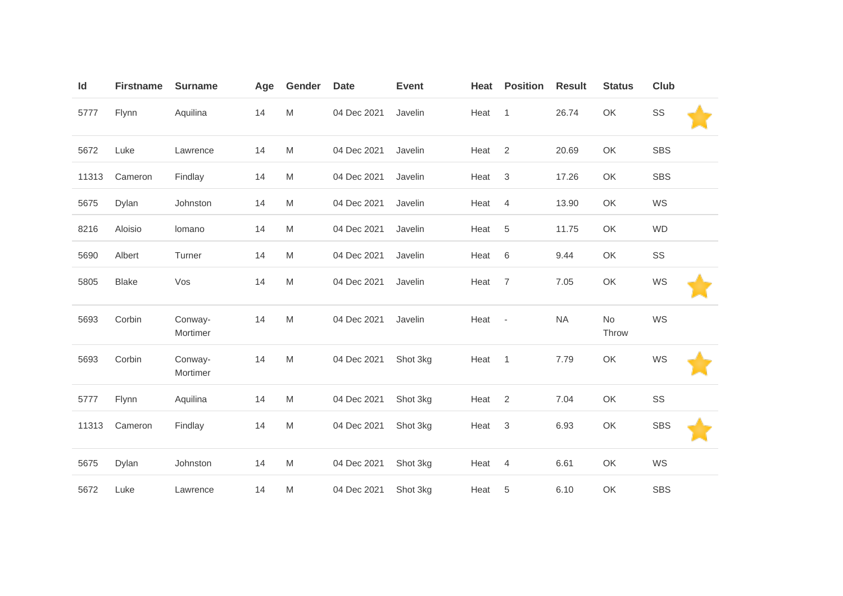| ld    | <b>Firstname</b> | <b>Surname</b>      | Age | Gender | <b>Date</b> | <b>Event</b> | Heat | <b>Position</b>           | <b>Result</b> | <b>Status</b> | <b>Club</b> |  |
|-------|------------------|---------------------|-----|--------|-------------|--------------|------|---------------------------|---------------|---------------|-------------|--|
| 5777  | Flynn            | Aquilina            | 14  | M      | 04 Dec 2021 | Javelin      | Heat | $\overline{1}$            | 26.74         | OK            | SS          |  |
| 5672  | Luke             | Lawrence            | 14  | M      | 04 Dec 2021 | Javelin      | Heat | 2                         | 20.69         | OK            | <b>SBS</b>  |  |
| 11313 | Cameron          | Findlay             | 14  | M      | 04 Dec 2021 | Javelin      | Heat | $\ensuremath{\mathsf{3}}$ | 17.26         | OK            | <b>SBS</b>  |  |
| 5675  | Dylan            | Johnston            | 14  | M      | 04 Dec 2021 | Javelin      | Heat | $\overline{4}$            | 13.90         | OK            | WS          |  |
| 8216  | Aloisio          | lomano              | 14  | M      | 04 Dec 2021 | Javelin      | Heat | $\,$ 5 $\,$               | 11.75         | OK            | <b>WD</b>   |  |
| 5690  | Albert           | Turner              | 14  | M      | 04 Dec 2021 | Javelin      | Heat | 6                         | 9.44          | OK            | SS          |  |
| 5805  | <b>Blake</b>     | Vos                 | 14  | M      | 04 Dec 2021 | Javelin      | Heat | $\overline{7}$            | 7.05          | OK            | WS          |  |
| 5693  | Corbin           | Conway-<br>Mortimer | 14  | M      | 04 Dec 2021 | Javelin      | Heat | $\overline{\phantom{a}}$  | <b>NA</b>     | No<br>Throw   | WS          |  |
| 5693  | Corbin           | Conway-<br>Mortimer | 14  | M      | 04 Dec 2021 | Shot 3kg     | Heat | $\overline{1}$            | 7.79          | OK            | WS          |  |
| 5777  | Flynn            | Aquilina            | 14  | M      | 04 Dec 2021 | Shot 3kg     | Heat | $\overline{2}$            | 7.04          | OK            | SS          |  |
| 11313 | Cameron          | Findlay             | 14  | M      | 04 Dec 2021 | Shot 3kg     | Heat | $\ensuremath{\mathsf{3}}$ | 6.93          | OK            | <b>SBS</b>  |  |
| 5675  | Dylan            | Johnston            | 14  | M      | 04 Dec 2021 | Shot 3kg     | Heat | 4                         | 6.61          | OK            | WS          |  |
| 5672  | Luke             | Lawrence            | 14  | M      | 04 Dec 2021 | Shot 3kg     | Heat | 5                         | 6.10          | OK            | <b>SBS</b>  |  |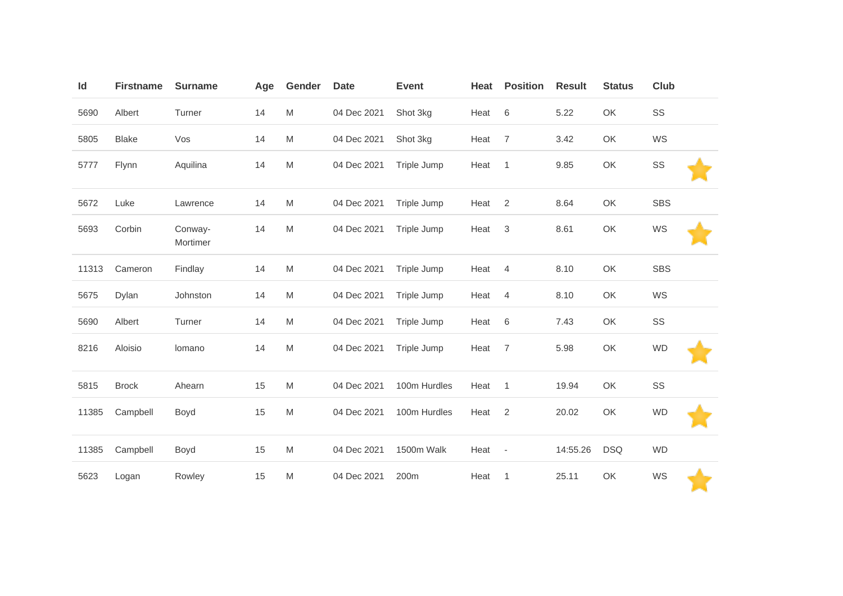| Id    | <b>Firstname</b> | <b>Surname</b>      | Age | Gender                                                                                | <b>Date</b> | <b>Event</b> | Heat | <b>Position</b>          | <b>Result</b> | <b>Status</b> | <b>Club</b> |  |
|-------|------------------|---------------------|-----|---------------------------------------------------------------------------------------|-------------|--------------|------|--------------------------|---------------|---------------|-------------|--|
| 5690  | Albert           | Turner              | 14  | M                                                                                     | 04 Dec 2021 | Shot 3kg     | Heat | 6                        | 5.22          | OK            | SS          |  |
| 5805  | <b>Blake</b>     | Vos                 | 14  | M                                                                                     | 04 Dec 2021 | Shot 3kg     | Heat | $\overline{7}$           | 3.42          | OK            | WS          |  |
| 5777  | Flynn            | Aquilina            | 14  | M                                                                                     | 04 Dec 2021 | Triple Jump  | Heat | $\mathbf{1}$             | 9.85          | OK            | SS          |  |
| 5672  | Luke             | Lawrence            | 14  | M                                                                                     | 04 Dec 2021 | Triple Jump  | Heat | $\overline{2}$           | 8.64          | OK            | <b>SBS</b>  |  |
| 5693  | Corbin           | Conway-<br>Mortimer | 14  | M                                                                                     | 04 Dec 2021 | Triple Jump  | Heat | $\mathfrak{Z}$           | 8.61          | OK            | WS          |  |
| 11313 | Cameron          | Findlay             | 14  | M                                                                                     | 04 Dec 2021 | Triple Jump  | Heat | $\overline{4}$           | 8.10          | OK            | <b>SBS</b>  |  |
| 5675  | Dylan            | Johnston            | 14  | M                                                                                     | 04 Dec 2021 | Triple Jump  | Heat | $\overline{4}$           | 8.10          | OK            | WS          |  |
| 5690  | Albert           | Turner              | 14  | M                                                                                     | 04 Dec 2021 | Triple Jump  | Heat | $\,6$                    | 7.43          | OK            | SS          |  |
| 8216  | Aloisio          | lomano              | 14  | $\mathsf{M}% _{T}=\mathsf{M}_{T}\!\left( a,b\right) ,\ \mathsf{M}_{T}=\mathsf{M}_{T}$ | 04 Dec 2021 | Triple Jump  | Heat | $\overline{7}$           | 5.98          | OK            | <b>WD</b>   |  |
| 5815  | <b>Brock</b>     | Ahearn              | 15  | M                                                                                     | 04 Dec 2021 | 100m Hurdles | Heat | $\mathbf{1}$             | 19.94         | OK            | SS          |  |
| 11385 | Campbell         | Boyd                | 15  | M                                                                                     | 04 Dec 2021 | 100m Hurdles | Heat | $\overline{2}$           | 20.02         | OK            | <b>WD</b>   |  |
| 11385 | Campbell         | Boyd                | 15  | M                                                                                     | 04 Dec 2021 | 1500m Walk   | Heat | $\overline{\phantom{a}}$ | 14:55.26      | <b>DSQ</b>    | <b>WD</b>   |  |
| 5623  | Logan            | Rowley              | 15  | M                                                                                     | 04 Dec 2021 | 200m         | Heat | $\mathbf{1}$             | 25.11         | OK            | WS          |  |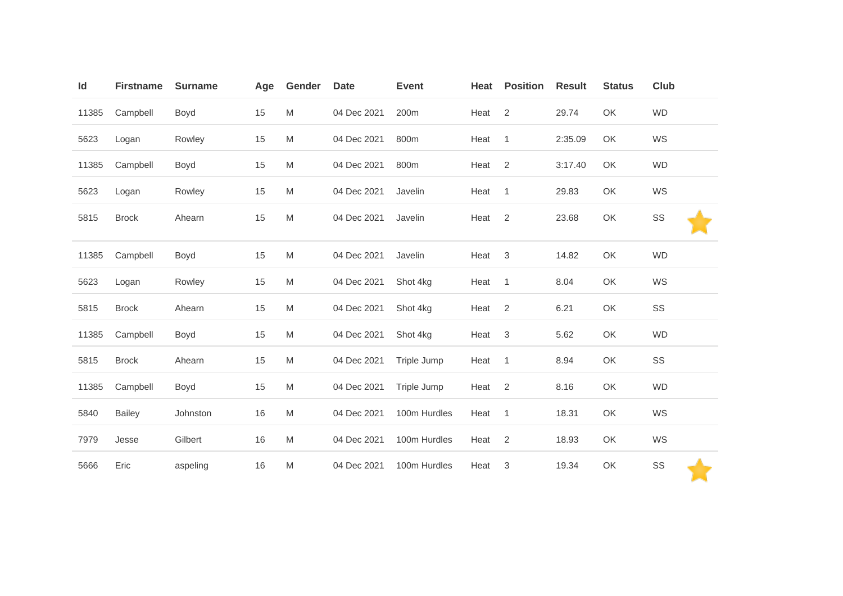| Id    | <b>Firstname</b> | <b>Surname</b> | Age | Gender | <b>Date</b> | <b>Event</b> | Heat | <b>Position</b> | <b>Result</b> | <b>Status</b> | <b>Club</b> |
|-------|------------------|----------------|-----|--------|-------------|--------------|------|-----------------|---------------|---------------|-------------|
| 11385 | Campbell         | Boyd           | 15  | M      | 04 Dec 2021 | 200m         | Heat | 2               | 29.74         | OK            | <b>WD</b>   |
| 5623  | Logan            | Rowley         | 15  | M      | 04 Dec 2021 | 800m         | Heat | $\mathbf{1}$    | 2:35.09       | OK            | WS          |
| 11385 | Campbell         | Boyd           | 15  | M      | 04 Dec 2021 | 800m         | Heat | 2               | 3:17.40       | OK            | <b>WD</b>   |
| 5623  | Logan            | Rowley         | 15  | M      | 04 Dec 2021 | Javelin      | Heat | $\mathbf{1}$    | 29.83         | OK            | WS          |
| 5815  | <b>Brock</b>     | Ahearn         | 15  | M      | 04 Dec 2021 | Javelin      | Heat | 2               | 23.68         | OK            | SS          |
| 11385 | Campbell         | Boyd           | 15  | M      | 04 Dec 2021 | Javelin      | Heat | 3               | 14.82         | OK            | <b>WD</b>   |
| 5623  | Logan            | Rowley         | 15  | M      | 04 Dec 2021 | Shot 4kg     | Heat | $\mathbf{1}$    | 8.04          | OK            | WS          |
| 5815  | <b>Brock</b>     | Ahearn         | 15  | M      | 04 Dec 2021 | Shot 4kg     | Heat | $\overline{2}$  | 6.21          | OK            | SS          |
| 11385 | Campbell         | Boyd           | 15  | M      | 04 Dec 2021 | Shot 4kg     | Heat | 3               | 5.62          | OK            | <b>WD</b>   |
| 5815  | <b>Brock</b>     | Ahearn         | 15  | M      | 04 Dec 2021 | Triple Jump  | Heat | $\overline{1}$  | 8.94          | OK            | SS          |
| 11385 | Campbell         | Boyd           | 15  | M      | 04 Dec 2021 | Triple Jump  | Heat | 2               | 8.16          | OK            | <b>WD</b>   |
| 5840  | <b>Bailey</b>    | Johnston       | 16  | M      | 04 Dec 2021 | 100m Hurdles | Heat | $\mathbf{1}$    | 18.31         | OK            | WS          |
| 7979  | Jesse            | Gilbert        | 16  | M      | 04 Dec 2021 | 100m Hurdles | Heat | 2               | 18.93         | OK            | WS          |
| 5666  | Eric             | aspeling       | 16  | M      | 04 Dec 2021 | 100m Hurdles | Heat | 3               | 19.34         | OK            | SS          |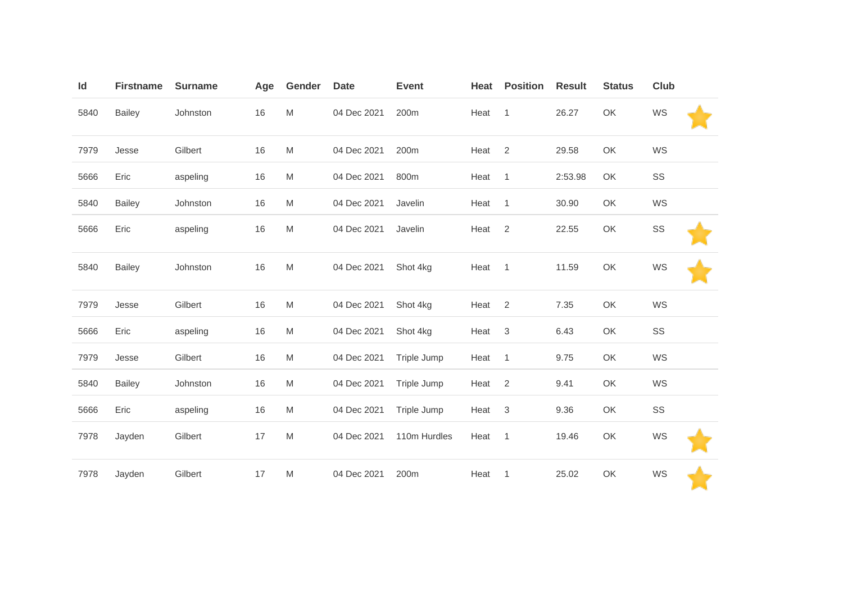| Id   | <b>Firstname</b> | <b>Surname</b> | Age | Gender | <b>Date</b> | <b>Event</b> | Heat | <b>Position</b> | <b>Result</b> | <b>Status</b> | Club |  |
|------|------------------|----------------|-----|--------|-------------|--------------|------|-----------------|---------------|---------------|------|--|
| 5840 | <b>Bailey</b>    | Johnston       | 16  | M      | 04 Dec 2021 | 200m         | Heat | $\overline{1}$  | 26.27         | OK            | WS   |  |
| 7979 | Jesse            | Gilbert        | 16  | M      | 04 Dec 2021 | 200m         | Heat | 2               | 29.58         | OK            | WS   |  |
| 5666 | Eric             | aspeling       | 16  | M      | 04 Dec 2021 | 800m         | Heat | $\overline{1}$  | 2:53.98       | OK            | SS   |  |
| 5840 | <b>Bailey</b>    | Johnston       | 16  | M      | 04 Dec 2021 | Javelin      | Heat | 1               | 30.90         | OK            | WS   |  |
| 5666 | Eric             | aspeling       | 16  | M      | 04 Dec 2021 | Javelin      | Heat | 2               | 22.55         | OK            | SS   |  |
| 5840 | <b>Bailey</b>    | Johnston       | 16  | M      | 04 Dec 2021 | Shot 4kg     | Heat | $\overline{1}$  | 11.59         | OK            | WS   |  |
| 7979 | Jesse            | Gilbert        | 16  | M      | 04 Dec 2021 | Shot 4kg     | Heat | 2               | 7.35          | OK            | WS   |  |
| 5666 | Eric             | aspeling       | 16  | M      | 04 Dec 2021 | Shot 4kg     | Heat | 3               | 6.43          | OK            | SS   |  |
| 7979 | Jesse            | Gilbert        | 16  | M      | 04 Dec 2021 | Triple Jump  | Heat | $\mathbf{1}$    | 9.75          | OK            | WS   |  |
| 5840 | <b>Bailey</b>    | Johnston       | 16  | M      | 04 Dec 2021 | Triple Jump  | Heat | 2               | 9.41          | OK            | WS   |  |
| 5666 | Eric             | aspeling       | 16  | M      | 04 Dec 2021 | Triple Jump  | Heat | 3               | 9.36          | OK            | SS   |  |
| 7978 | Jayden           | Gilbert        | 17  | M      | 04 Dec 2021 | 110m Hurdles | Heat | $\overline{1}$  | 19.46         | OK            | WS   |  |
| 7978 | Jayden           | Gilbert        | 17  | M      | 04 Dec 2021 | 200m         | Heat | 1               | 25.02         | OK            | WS   |  |